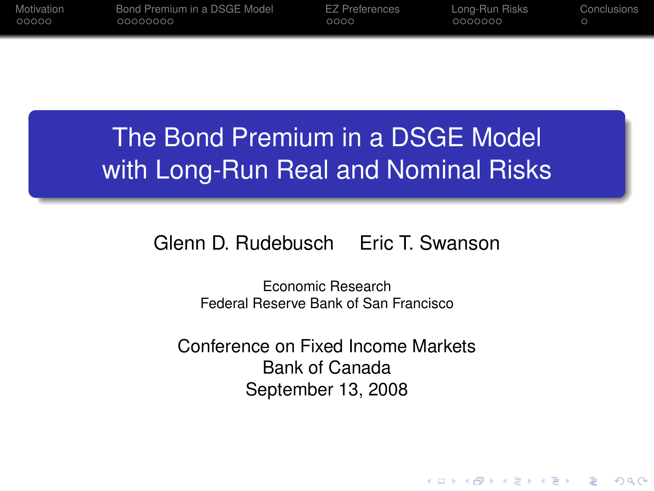| Motivation | Bond Premium in a DSGE Model | <b>EZ Preferences</b> | Long-Run Risks | Conclusions |
|------------|------------------------------|-----------------------|----------------|-------------|
| 00000      | 00000000                     | 0000                  | 0000000        |             |
|            |                              |                       |                |             |

# The Bond Premium in a DSGE Model with Long-Run Real and Nominal Risks

#### Glenn D. Rudebusch Eric T. Swanson

Economic Research Federal Reserve Bank of San Francisco

Conference on Fixed Income Markets Bank of Canada September 13, 2008

**KORK ERKER ADAM ADA**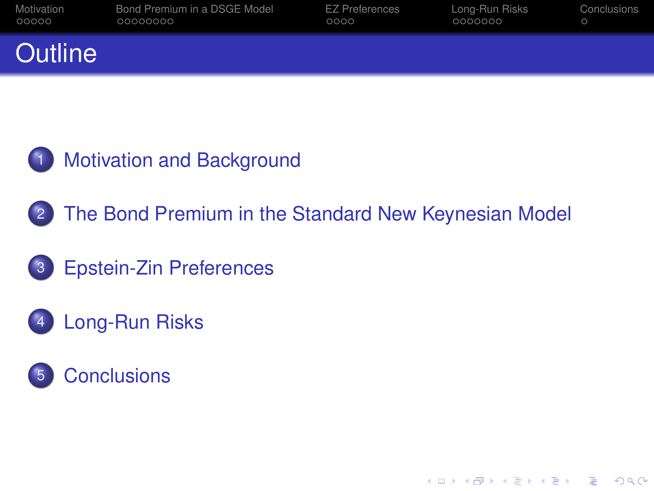| Motivation | Bond Premium in a DSGE Model | <b>EZ Preferences</b> | Long-Run Risks | Conclusions |
|------------|------------------------------|-----------------------|----------------|-------------|
| 00000      | 00000000                     | 0000                  | 0000000        |             |
| Outline    |                              |                       |                |             |



2 [The Bond Premium in the Standard New Keynesian Model](#page-13-0)

**KORK ERKER ADAM ADA** 

- 3 [Epstein-Zin Preferences](#page-37-0)
- 4 [Long-Run Risks](#page-46-0)
- **[Conclusions](#page-56-0)**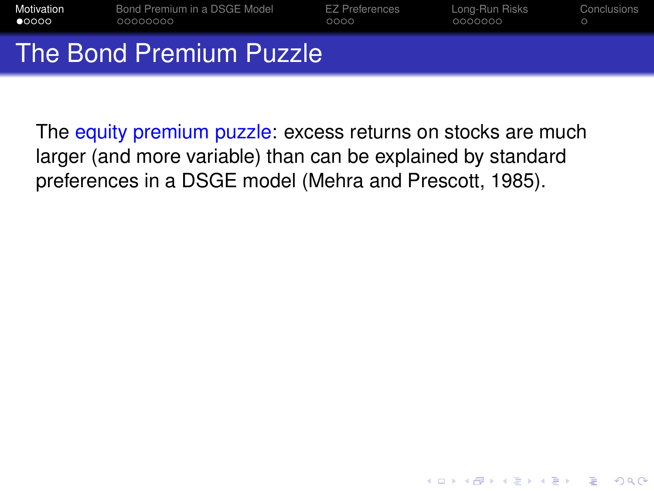| Motivation     | Bond Premium in a DSGE Model         | <b>EZ Preferences</b> | Long-Run Risks | Conclusions |
|----------------|--------------------------------------|-----------------------|----------------|-------------|
| $\bullet$ 0000 | 00000000                             | 0000                  | 0000000        |             |
|                | The Bond Premium Puzzle <sup>1</sup> |                       |                |             |

<span id="page-2-0"></span>The equity premium puzzle: excess returns on stocks are much larger (and more variable) than can be explained by standard preferences in a DSGE model (Mehra and Prescott, 1985).

**KOD KOD KED KED E VAN**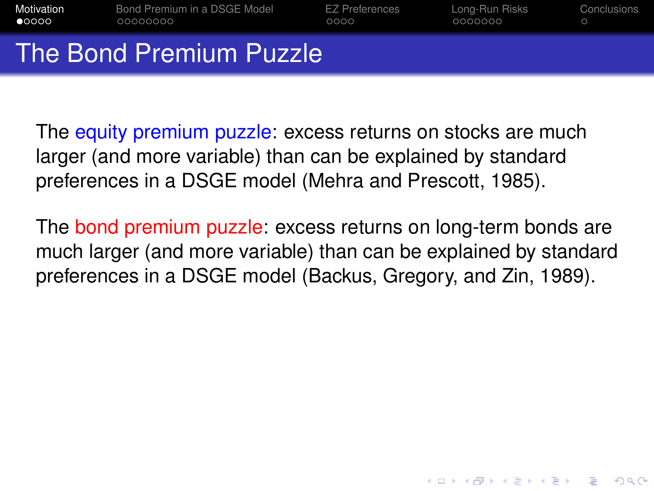| Motivation     | Bond Premium in a DSGE Model | <b>EZ Preferences</b> | Long-Run Risks | Conclusions |
|----------------|------------------------------|-----------------------|----------------|-------------|
| $\bullet$ 0000 | 00000000                     | 0000                  | 0000000        | $\circ$     |
|                | The Bond Premium Puzzle      |                       |                |             |

The equity premium puzzle: excess returns on stocks are much larger (and more variable) than can be explained by standard preferences in a DSGE model (Mehra and Prescott, 1985).

The bond premium puzzle: excess returns on long-term bonds are much larger (and more variable) than can be explained by standard preferences in a DSGE model (Backus, Gregory, and Zin, 1989).

**KORK ERKER ADAM ADA**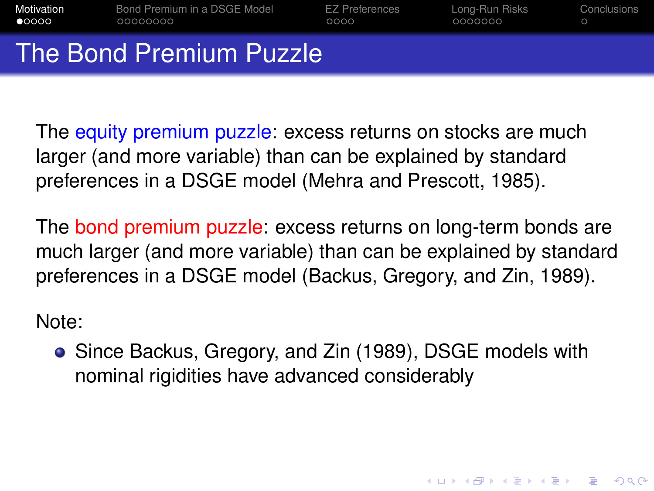| Motivation              | Bond Premium in a DSGE Model | <b>EZ Preferences</b> | Long-Run Risks | Conclusions |
|-------------------------|------------------------------|-----------------------|----------------|-------------|
| $\bullet$ 0000          | 00000000                     | 0000                  | 0000000        | $\bigcap$   |
| The Bond Premium Puzzle |                              |                       |                |             |

The equity premium puzzle: excess returns on stocks are much larger (and more variable) than can be explained by standard preferences in a DSGE model (Mehra and Prescott, 1985).

The bond premium puzzle: excess returns on long-term bonds are much larger (and more variable) than can be explained by standard preferences in a DSGE model (Backus, Gregory, and Zin, 1989).

Note:

<span id="page-4-0"></span>Since Backus, Gregory, and Zin (1989), DSGE models with nominal rigidities have advanced considerably

**KORK ERKEY EL POLO**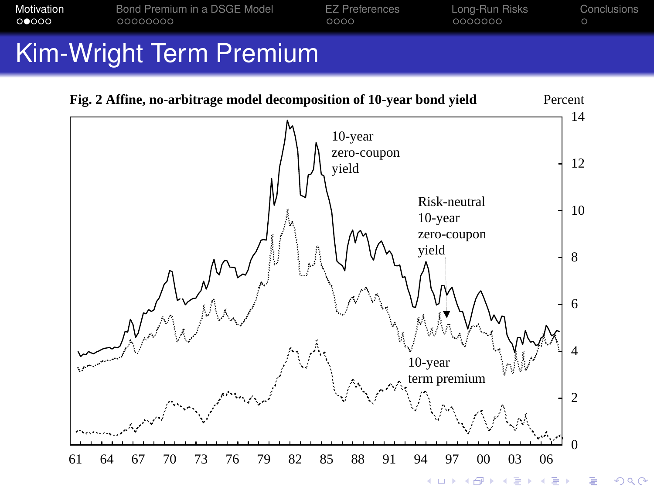

# Kim-Wright Term Premium

<span id="page-5-0"></span>

 $QQ$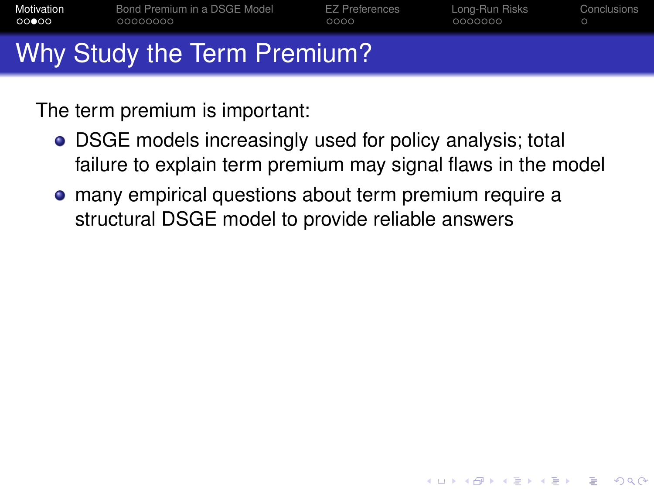| Motivation | Bond Premium in a DSGE Model | <b>EZ Preferences</b> | Long-Run Risks | Conclusions |
|------------|------------------------------|-----------------------|----------------|-------------|
| 00000      | 00000000                     | 0000                  | 0000000        | $\circ$     |
|            | Why Study the Term Premium?  |                       |                |             |

The term premium is important:

DSGE models increasingly used for policy analysis; total failure to explain term premium may signal flaws in the model

**KORK ERKER ADAM ADA** 

<span id="page-6-0"></span>many empirical questions about term premium require a structural DSGE model to provide reliable answers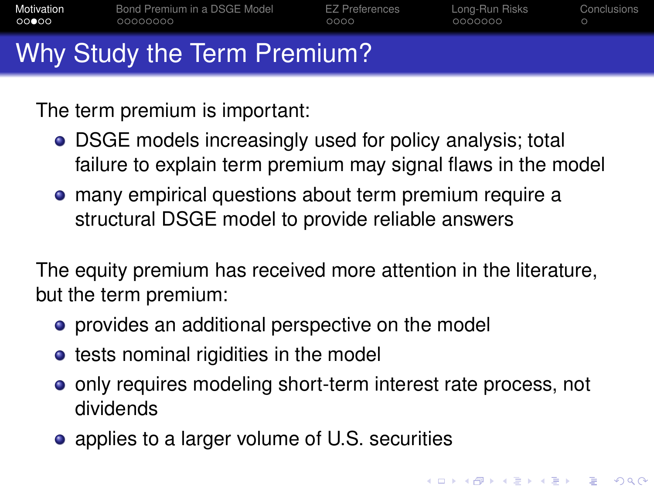| Motivation | Bond Premium in a DSGE Model | <b>EZ Preferences</b> | Long-Run Risks | Conclusions |
|------------|------------------------------|-----------------------|----------------|-------------|
| 00000      | 00000000                     | 0000                  | 0000000        | $\circ$     |
|            | Why Study the Term Premium?  |                       |                |             |

The term premium is important:

- DSGE models increasingly used for policy analysis; total failure to explain term premium may signal flaws in the model
- many empirical questions about term premium require a structural DSGE model to provide reliable answers

The equity premium has received more attention in the literature, but the term premium:

- **•** provides an additional perspective on the model
- **•** tests nominal rigidities in the model
- o only requires modeling short-term interest rate process, not dividends

**KORK ERKEY EL POLO** 

• applies to a larger volume of U.S. securities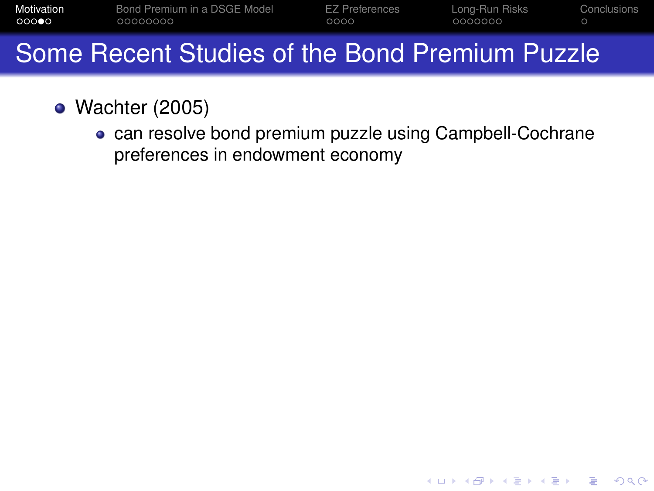| Motivation<br>00000 | 00000000 | Bond Premium in a DSGE Model | EZ Preferences<br>0000 | Long-Run Risks<br>0000000 | Conclusions |  |
|---------------------|----------|------------------------------|------------------------|---------------------------|-------------|--|
|                     |          |                              |                        |                           |             |  |

- Wachter (2005)
	- can resolve bond premium puzzle using Campbell-Cochrane preferences in endowment economy

**KORK ERKER AD A BOACH**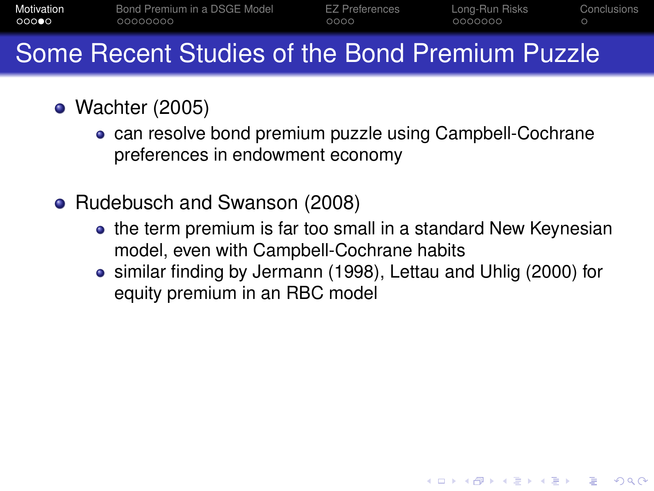| Motivation | Bond Premium in a DSGE Model | <b>EZ Preferences</b> | Long-Run Risks | Conclusions |
|------------|------------------------------|-----------------------|----------------|-------------|
| 00000      | 00000000                     | 0000                  | - OOOOOOO      |             |

- Wachter (2005)
	- can resolve bond premium puzzle using Campbell-Cochrane preferences in endowment economy
- Rudebusch and Swanson (2008)
	- the term premium is far too small in a standard New Keynesian model, even with Campbell-Cochrane habits
	- similar finding by Jermann (1998), Lettau and Uhlig (2000) for equity premium in an RBC model

**KORK ERKER ADAM ADA**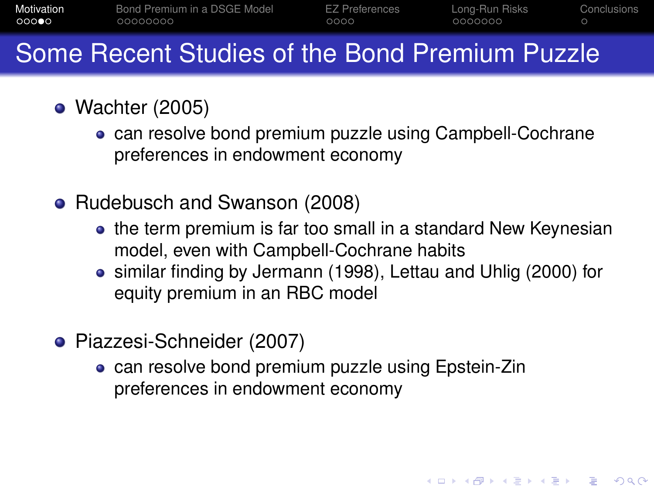| Motivation | Bond Premium in a DSGE Model | <b>EZ Preferences</b> | Long-Run Risks | Conclusions |
|------------|------------------------------|-----------------------|----------------|-------------|
| 00000      | 00000000                     | 0000                  | COOCOOO        |             |

- Wachter (2005)
	- can resolve bond premium puzzle using Campbell-Cochrane preferences in endowment economy
- Rudebusch and Swanson (2008)
	- the term premium is far too small in a standard New Keynesian model, even with Campbell-Cochrane habits
	- similar finding by Jermann (1998), Lettau and Uhlig (2000) for equity premium in an RBC model

**KORK ERKER ADAM ADA** 

- Piazzesi-Schneider (2007)
	- **.** can resolve bond premium puzzle using Epstein-Zin preferences in endowment economy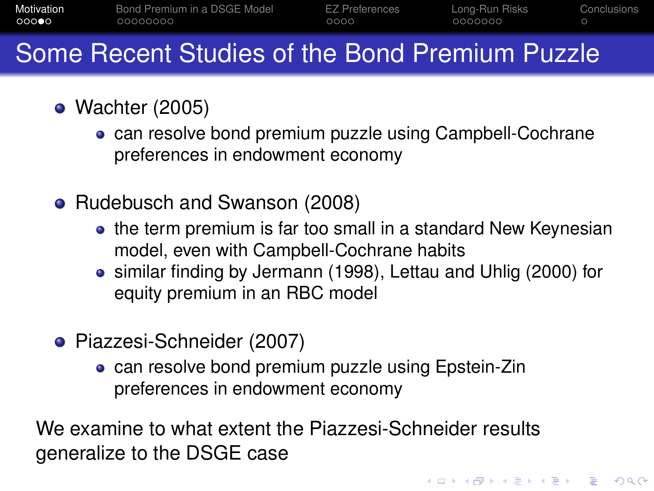| Motivation | Bond Premium in a DSGE Model | <b>EZ Preferences</b> | Long-Run Risks | Conclusions |
|------------|------------------------------|-----------------------|----------------|-------------|
| 00000      | 00000000                     | 0000                  | COOCOOO        |             |

- Wachter (2005)
	- can resolve bond premium puzzle using Campbell-Cochrane preferences in endowment economy
- Rudebusch and Swanson (2008)
	- the term premium is far too small in a standard New Keynesian model, even with Campbell-Cochrane habits
	- similar finding by Jermann (1998), Lettau and Uhlig (2000) for equity premium in an RBC model

**KORK ERKER ADAM ADA** 

- Piazzesi-Schneider (2007)
	- **.** can resolve bond premium puzzle using Epstein-Zin preferences in endowment economy

We examine to what extent the Piazzesi-Schneider results generalize to the DSGE case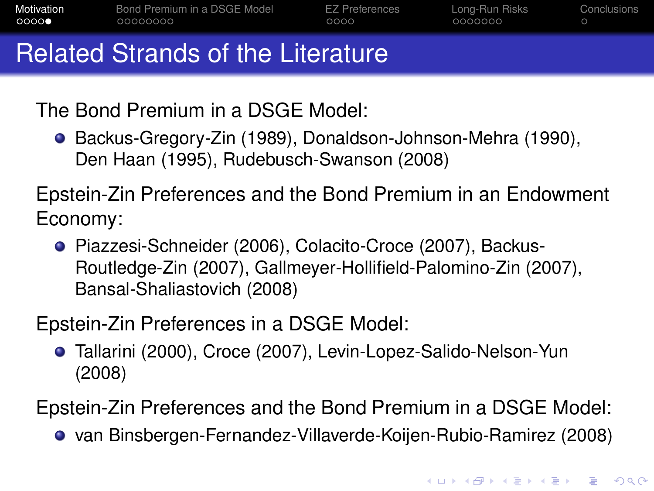| Motivation | Bond Premium in a DSGE Model      | EZ Preferences | Long-Run Risks | Conclusions |
|------------|-----------------------------------|----------------|----------------|-------------|
| 0000       | 00000000                          | 0000           | 0000000        |             |
|            | Related Strands of the Literature |                |                |             |

The Bond Premium in a DSGE Model:

● Backus-Gregory-Zin (1989), Donaldson-Johnson-Mehra (1990), Den Haan (1995), Rudebusch-Swanson (2008)

Epstein-Zin Preferences and the Bond Premium in an Endowment Economy:

● Piazzesi-Schneider (2006), Colacito-Croce (2007), Backus-Routledge-Zin (2007), Gallmeyer-Hollifield-Palomino-Zin (2007), Bansal-Shaliastovich (2008)

Epstein-Zin Preferences in a DSGE Model:

Tallarini (2000), Croce (2007), Levin-Lopez-Salido-Nelson-Yun (2008)

Epstein-Zin Preferences and the Bond Premium in a DSGE Model:

van Binsbergen-Fernandez-Villaverde-Koijen-Rubio-Ramirez (2008)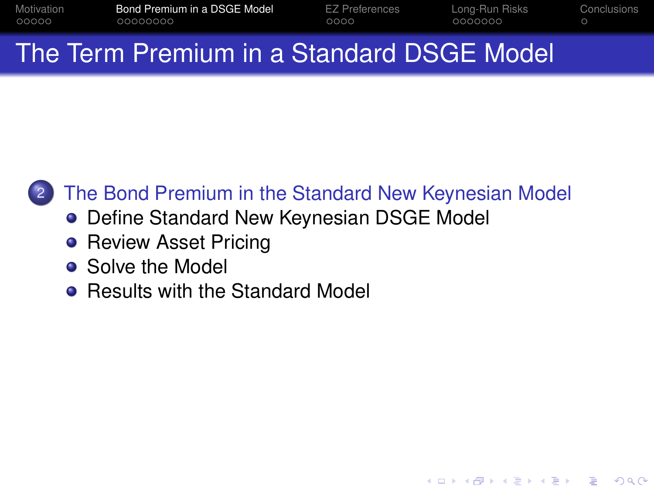| Motivation | Bond Premium in a DSGE Model | <b>EZ Preferences</b> | Long-Run Risks | Conclusions |
|------------|------------------------------|-----------------------|----------------|-------------|
| 00000      | 00000000                     | 0000                  | 0000000        |             |
|            |                              |                       |                |             |

# The Term Premium in a Standard DSGE Model



### [The Bond Premium in the Standard New Keynesian Model](#page-13-0)

**KORK ERKER AD A BOACH** 

- [Define Standard New Keynesian DSGE Model](#page-14-0)
- **[Review Asset Pricing](#page-21-0)**
- **•** [Solve the Model](#page-29-0)
- <span id="page-13-0"></span>• [Results with the Standard Model](#page-32-0)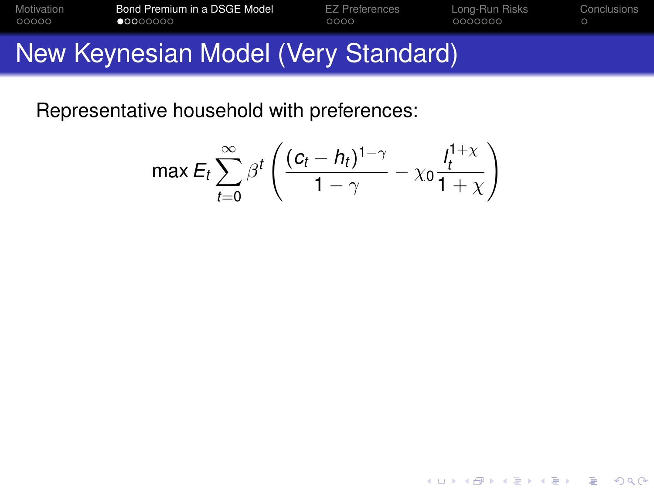| Motivation | Bond Premium in a DSGE Model        | <b>EZ Preferences</b> | Long-Run Risks | Conclusions |
|------------|-------------------------------------|-----------------------|----------------|-------------|
| 00000      | $\bullet$ 0000000                   | 0000                  | 0000000        |             |
|            | New Keynesian Model (Very Standard) |                       |                |             |

<span id="page-14-0"></span>
$$
\max E_t \sum_{t=0}^{\infty} \beta^t \left( \frac{(c_t - h_t)^{1-\gamma}}{1-\gamma} - \chi_0 \frac{I_t^{1+\chi}}{1+\chi} \right)
$$

K ロ ▶ K @ ▶ K 할 ▶ K 할 ▶ 이 할 → 9 Q Q →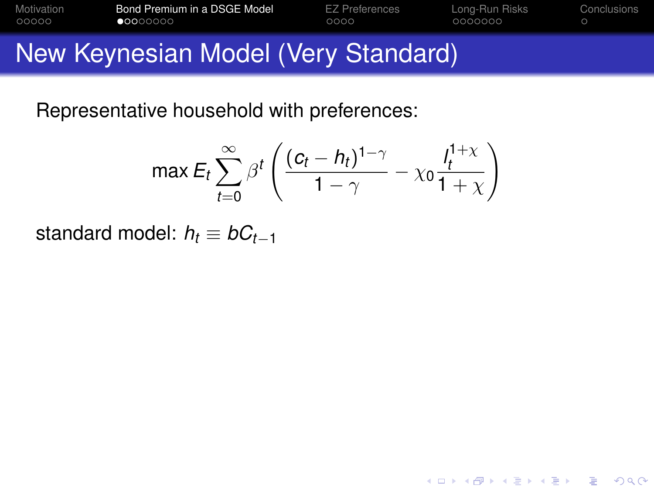| Motivation | Bond Premium in a DSGE Model        | <b>EZ Preferences</b> | Long-Run Risks | Conclusions |
|------------|-------------------------------------|-----------------------|----------------|-------------|
| 00000      | 00000000                            | 0000                  | 0000000        |             |
|            | New Keynesian Model (Very Standard) |                       |                |             |

$$
\max \mathsf{E}_{t} \sum_{t=0}^{\infty} \beta^{t} \left( \frac{(c_{t} - h_{t})^{1-\gamma}}{1-\gamma} - \chi_{0} \frac{h^{1+\chi}}{1+\chi} \right)
$$

K ロ ▶ K @ ▶ K 할 ▶ K 할 ▶ ... 할 ... 9 Q Q ^

standard model:  $h_t \equiv bC_{t-1}$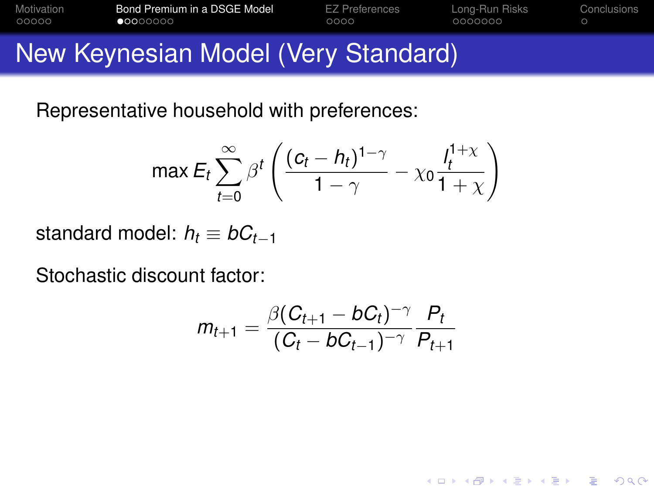| Motivation | Bond Premium in a DSGE Model        | <b>EZ Preferences</b> | Long-Run Risks | Conclusions |
|------------|-------------------------------------|-----------------------|----------------|-------------|
| 00000      | 00000000                            | 0000                  | 0000000        |             |
|            | New Keynesian Model (Very Standard) |                       |                |             |

$$
\max \mathsf{E}_{t} \sum_{t=0}^{\infty} \beta^{t} \left( \frac{(c_{t} - h_{t})^{1-\gamma}}{1-\gamma} - \chi_{0} \frac{h^{1+\chi}}{1+\chi} \right)
$$

standard model:  $h_t \equiv bC_{t-1}$ 

Stochastic discount factor:

$$
m_{t+1} = \frac{\beta (C_{t+1} - bC_t)^{-\gamma}}{(C_t - bC_{t-1})^{-\gamma}} \frac{P_t}{P_{t+1}}
$$

K ロ ▶ K @ ▶ K 할 ▶ K 할 ▶ 이 할 → 9 Q Q →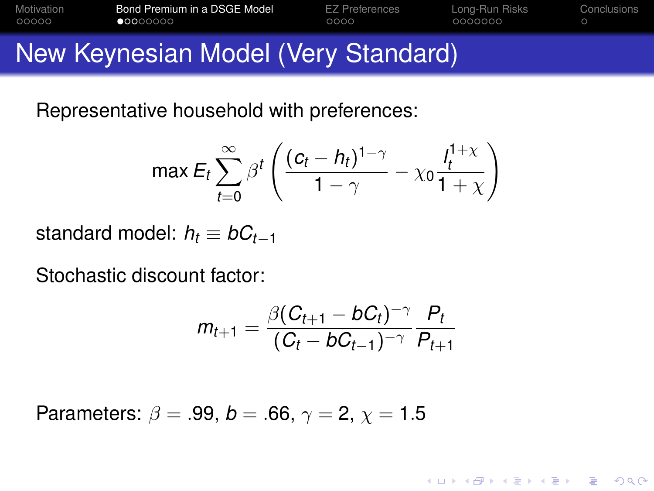| Motivation | Bond Premium in a DSGE Model        | <b>EZ Preferences</b> | Long-Run Risks | Conclusions |
|------------|-------------------------------------|-----------------------|----------------|-------------|
| 00000      | 00000000                            | 0000                  | 0000000        |             |
|            | New Keynesian Model (Very Standard) |                       |                |             |

$$
\max \mathsf{E}_{t} \sum_{t=0}^{\infty} \beta^{t} \left( \frac{(c_{t} - h_{t})^{1-\gamma}}{1-\gamma} - \chi_{0} \frac{1}{1+\chi} \right)
$$

standard model:  $h_t \equiv bC_{t-1}$ 

Stochastic discount factor:

$$
m_{t+1} = \frac{\beta (C_{t+1} - bC_t)^{-\gamma}}{(C_t - bC_{t-1})^{-\gamma}} \frac{P_t}{P_{t+1}}
$$

**KORKARA KERKER DAGA** 

Parameters:  $\beta = .99, b = .66, \gamma = 2, \gamma = 1.5$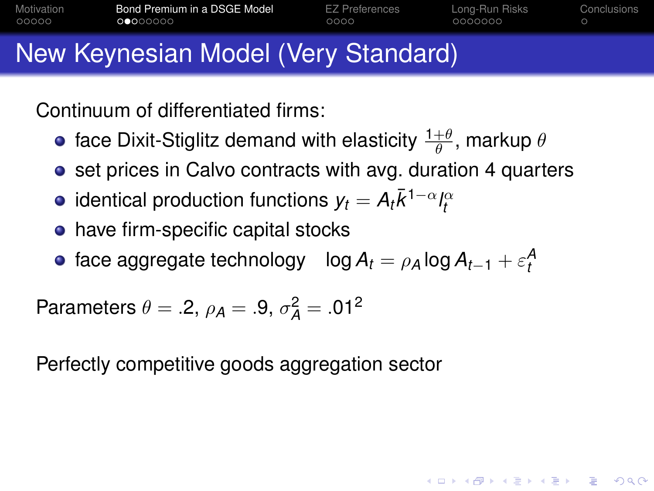| Motivation | Bond Premium in a DSGE Model        | <b>EZ Preferences</b> | Long-Run Risks | Conclusions |
|------------|-------------------------------------|-----------------------|----------------|-------------|
| 00000      | 0 0000000                           | 0000                  | 0000000        |             |
|            | New Keynesian Model (Very Standard) |                       |                |             |

Continuum of differentiated firms:

- face Dixit-Stiglitz demand with elasticity  $\frac{1+\theta}{\theta},$  markup  $\theta$
- set prices in Calvo contracts with avg. duration 4 quarters
- identical production functions  $y_t = A_t \bar{k}^{1-\alpha} l_t^\alpha$
- have firm-specific capital stocks
- face aggregate technology  $\log A_t = \rho_A \log A_{t-1} + \varepsilon_t^A$

**KOD KOD KED KED E VOOR** 

Parameters  $\theta = .2$ ,  $\rho_A = .9$ ,  $\sigma_A^2 = .01^2$ 

<span id="page-18-0"></span>Perfectly competitive goods aggregation sector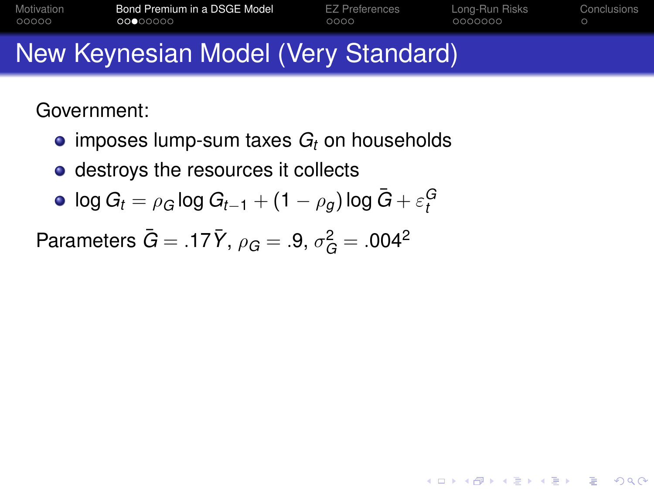| Motivation                          | Bond Premium in a DSGE Model | <b>EZ Preferences</b> | Long-Run Risks | Conclusions |
|-------------------------------------|------------------------------|-----------------------|----------------|-------------|
| 00000                               | 00000000                     | 0000                  | 0000000        |             |
| New Keynesian Model (Very Standard) |                              |                       |                |             |

K ロ ▶ K @ ▶ K 할 ▶ K 할 ▶ | 할 | K 9 Q Q

Government:

- $\bullet$  imposes lump-sum taxes  $G_t$  on households
- destroys the resources it collects

$$
\bullet \ \log G_t = \rho_G \log G_{t-1} + (1-\rho_g) \log \bar{G} + \varepsilon_t^G
$$

<span id="page-19-0"></span>Parameters  $\bar{G} = .17 \bar{Y}$ ,  $\rho_G = .9$ ,  $\sigma_G^2 = .004^2$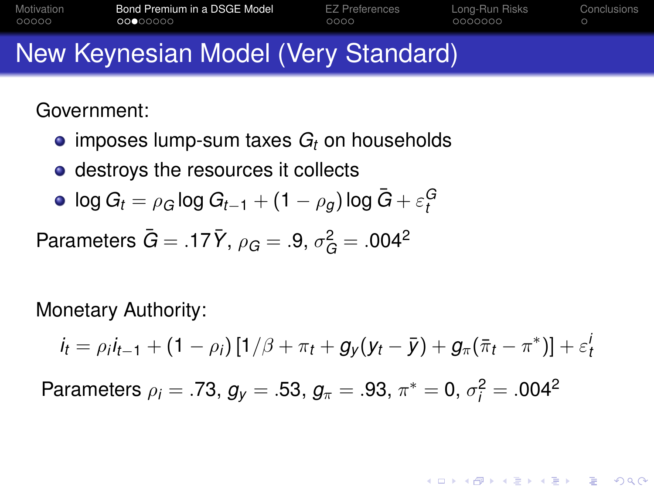| Motivation                          | Bond Premium in a DSGE Model | <b>EZ Preferences</b> | Long-Run Risks | Conclusions |
|-------------------------------------|------------------------------|-----------------------|----------------|-------------|
| 00000                               | 00000000                     | 0000                  | 0000000        |             |
| New Keynesian Model (Very Standard) |                              |                       |                |             |

Government:

- $\bullet$  imposes lump-sum taxes  $G_t$  on households
- destroys the resources it collects

$$
\bullet \ \log G_t = \rho_G \log G_{t-1} + (1-\rho_g) \log \bar{G} + \varepsilon_t^G
$$

Parameters  $\bar{G} = .17 \bar{Y}$ ,  $\rho_G = .9$ ,  $\sigma_G^2 = .004^2$ 

Monetary Authority:

$$
i_t = \rho_i i_{t-1} + (1 - \rho_i) [1/\beta + \pi_t + g_y (y_t - \bar{y}) + g_\pi (\bar{\pi}_t - \pi^*)] + \varepsilon_t^i
$$

Parameters  $\rho_i = .73$ ,  $g_y = .53$ ,  $g_\pi = .93$ ,  $\pi^* = 0$ ,  $\sigma_i^2 = .004^2$ 

**KORK ERKER ADAM ADA**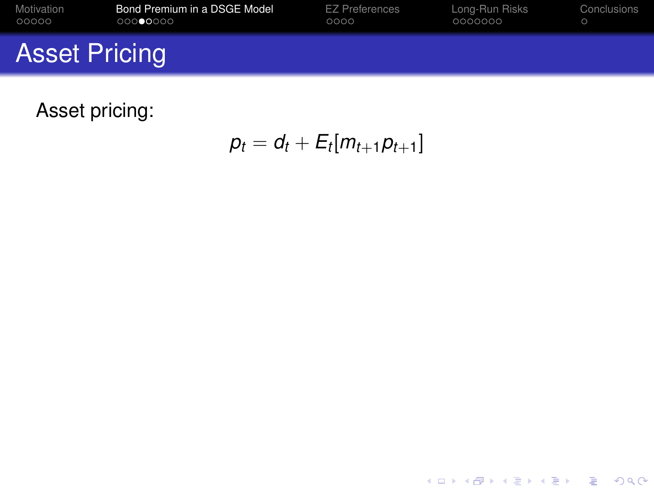| Motivation           | Bond Premium in a DSGE Model | EZ Preferences | Long-Run Risks | Conclusions |
|----------------------|------------------------------|----------------|----------------|-------------|
| 00000                | 00000000                     | 0000           | 0000000        |             |
| <b>Asset Pricing</b> |                              |                |                |             |

<span id="page-21-0"></span>Asset pricing:

 $p_t = d_t + E_t[m_{t+1}p_{t+1}]$ 

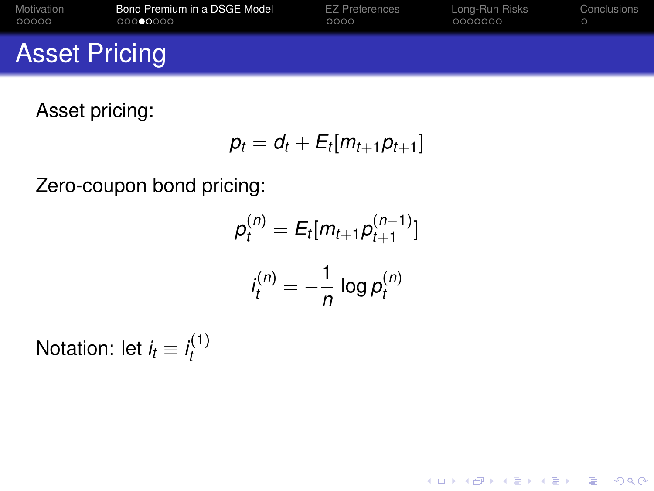| Motivation           | Bond Premium in a DSGE Model | <b>EZ Preferences</b> | Long-Run Risks | Conclusions |
|----------------------|------------------------------|-----------------------|----------------|-------------|
| 00000                | 00000000                     | 0000                  | 0000000        |             |
| <b>Asset Pricing</b> |                              |                       |                |             |

Asset pricing:

$$
p_t = d_t + E_t[m_{t+1}p_{t+1}]
$$

Zero-coupon bond pricing:

$$
p_t^{(n)} = E_t[m_{t+1}p_{t+1}^{(n-1)}]
$$

$$
i_t^{(n)} = -\frac{1}{n} \log p_t^{(n)}
$$

K ロ ▶ K @ ▶ K 할 ▶ K 할 ▶ 이 할 → 9 Q Q →

Notation: let  $i_t \equiv i_t^{(1)}$ *t*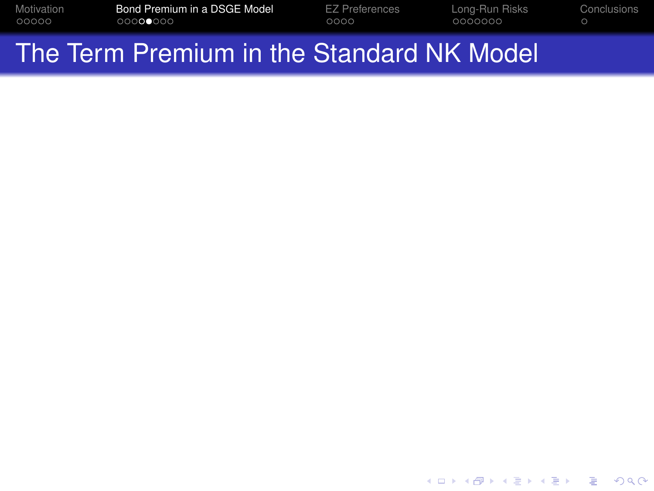| Motivation | Bond Premium in a DSGE Model | EZ Preferences | Long-Run Risks | <b>Conclusions</b> |
|------------|------------------------------|----------------|----------------|--------------------|
| 00000      | 00000000                     | 0000           | 0000000        |                    |
|            |                              |                |                |                    |

<span id="page-23-0"></span>K ロ ▶ K @ ▶ K 할 ▶ K 할 ▶ ... 할 ... 9 Q Q ^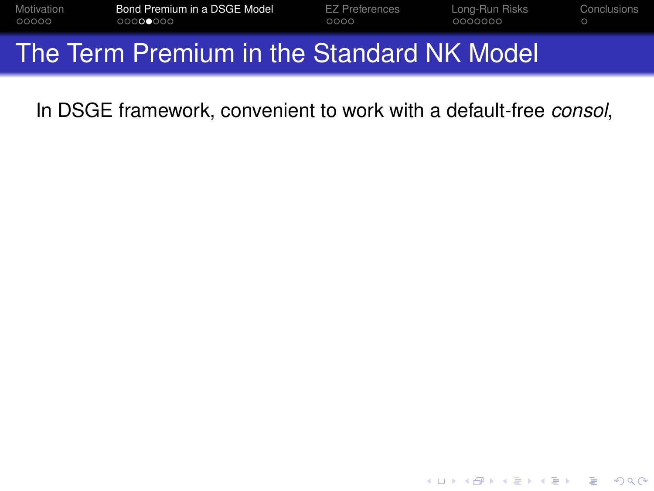| Motivation | Bond Premium in a DSGE Model | EZ Preferences | Long-Run Risks | Conclusions |
|------------|------------------------------|----------------|----------------|-------------|
| 00000      | 00000000                     | 0000           | 0000000        |             |
|            |                              |                |                |             |

In DSGE framework, convenient to work with a default-free *consol*,

K ロ ▶ K @ ▶ K 할 ▶ K 할 ▶ 이 할 → 9 Q Q →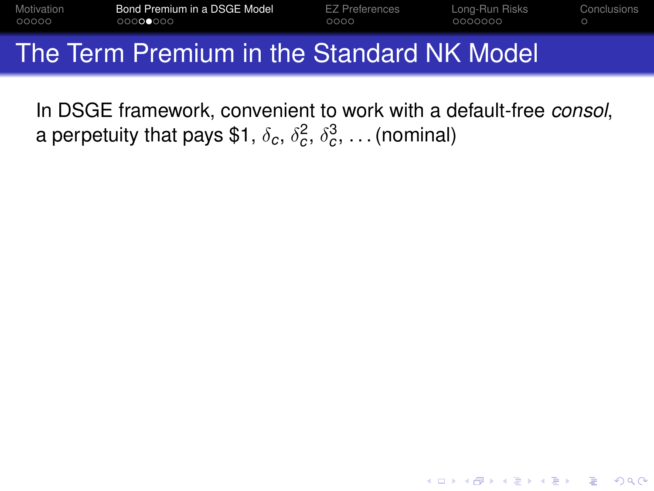| Motivation | Bond Premium in a DSGE Model              | <b>EZ Preferences</b> | Long-Run Risks | Conclusions |
|------------|-------------------------------------------|-----------------------|----------------|-------------|
| 00000      | 00000000                                  | 0000                  | 0000000        |             |
|            | The Term Premium in the Standard NK Model |                       |                |             |

In DSGE framework, convenient to work with a default-free *consol*, a perpetuity that pays \$1,  $\delta_c, \, \delta_c^2, \, \delta_c^3, \, \ldots$  (nominal)

**KOD KOD KED KED E VOOR**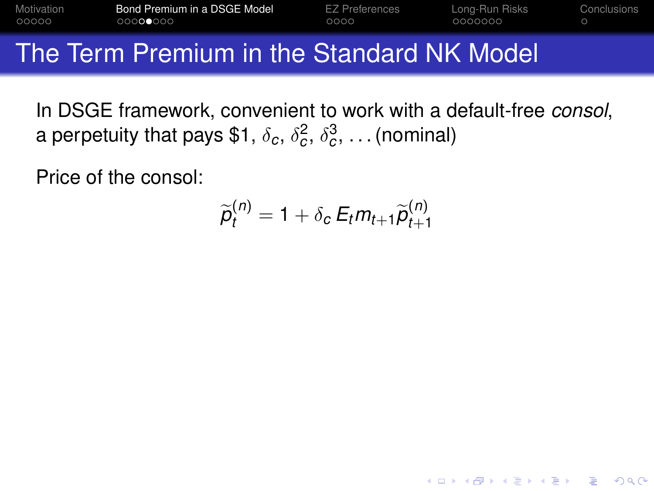| Motivation | Bond Premium in a DSGE Model                     | EZ Preferences | Long-Run Risks | Conclusions |
|------------|--------------------------------------------------|----------------|----------------|-------------|
| 00000      | 00000000                                         | 0000           | 0000000        |             |
|            | The Tenne Dueseline better Otensienal NII/ Medal |                |                |             |

In DSGE framework, convenient to work with a default-free *consol*, a perpetuity that pays \$1,  $\delta_c, \, \delta_c^2, \, \delta_c^3, \, \ldots$  (nominal)

Price of the consol:

$$
\widetilde{p}_t^{(n)} = 1 + \delta_c \, E_t m_{t+1} \widetilde{p}_{t+1}^{(n)}
$$

**KORK ERKER ADAM ADA**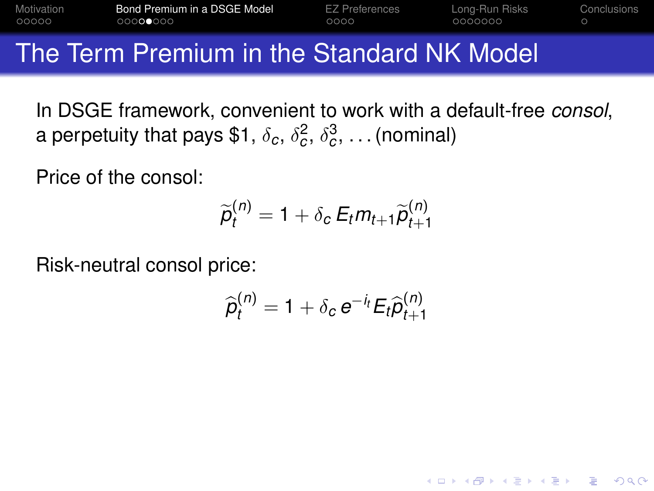| Motivation<br>00000 | Bond Premium in a DSGE Model<br>000000000 |  | EZ Preferences<br>0000 | Long-Run Risks<br>- OOOOOOO | Conclusions |   |  |
|---------------------|-------------------------------------------|--|------------------------|-----------------------------|-------------|---|--|
|                     |                                           |  |                        |                             |             | . |  |

In DSGE framework, convenient to work with a default-free *consol*, a perpetuity that pays \$1,  $\delta_c, \, \delta_c^2, \, \delta_c^3, \, \ldots$  (nominal)

Price of the consol:

$$
\widetilde{p}_t^{(n)} = 1 + \delta_c \, E_t m_{t+1} \widetilde{p}_{t+1}^{(n)}
$$

Risk-neutral consol price:

$$
\widehat{p}_t^{(n)} = 1 + \delta_c e^{-i_t} E_t \widehat{p}_{t+1}^{(n)}
$$

**KORK ERKER ADAM ADA**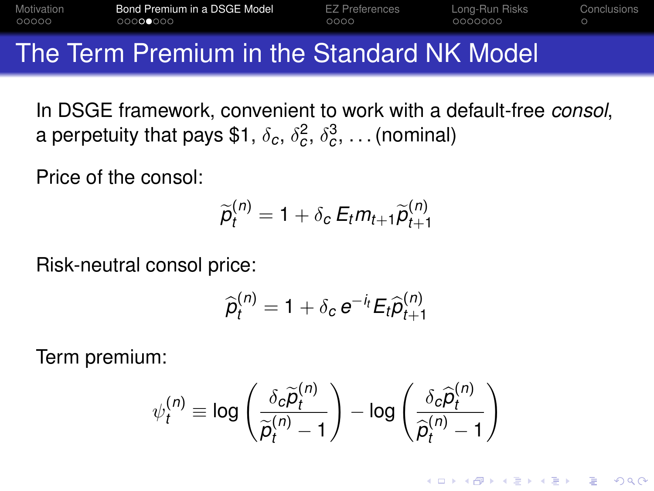| Motivation<br>00000 | Bond Premium in a DSGE Model<br>00000000 |  | EZ Preferences<br>0000 | Long-Run Risks<br>0000000 | Conclusions |
|---------------------|------------------------------------------|--|------------------------|---------------------------|-------------|
| __                  |                                          |  |                        |                           |             |

In DSGE framework, convenient to work with a default-free *consol*, a perpetuity that pays \$1,  $\delta_c, \, \delta_c^2, \, \delta_c^3, \, \ldots$  (nominal)

Price of the consol:

$$
\widetilde{p}_t^{(n)} = 1 + \delta_c \, E_t m_{t+1} \widetilde{p}_{t+1}^{(n)}
$$

Risk-neutral consol price:

$$
\widehat{p}_t^{(n)} = 1 + \delta_c e^{-i_t} E_t \widehat{p}_{t+1}^{(n)}
$$

Term premium:

$$
\psi_t^{(n)} \equiv \log \left( \frac{\delta_c \widetilde{\rho}_t^{(n)}}{\widetilde{\rho}_t^{(n)} - 1} \right) - \log \left( \frac{\delta_c \widehat{\rho}_t^{(n)}}{\widehat{\rho}_t^{(n)} - 1} \right)
$$

KEL KALEYKEN E YAN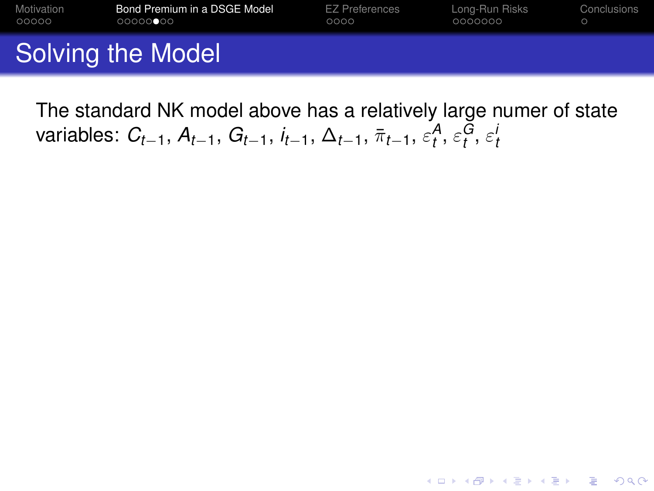| Motivation | Bond Premium in a DSGE Model | EZ Preferences | Long-Run Risks | Conclusions |
|------------|------------------------------|----------------|----------------|-------------|
| 00000      | 00000000                     | 0000           | 0000000        |             |
|            | Solving the Model            |                |                |             |

<span id="page-29-0"></span>The standard NK model above has a relatively large numer of state  ${\sf variables:}\,\, C_{t-1},\, A_{t-1},\, G_{t-1},\, i_{t-1},\, \Delta_{t-1},\, \bar\pi_{t-1},\, \varepsilon^{\mathcal{A}}_t,\, \varepsilon^{\mathcal{G}}_t,\, \varepsilon^{\mathcal{I}}_t$ 

K ロ ▶ K @ ▶ K 할 ▶ K 할 ▶ 이 할 → 9 Q Q →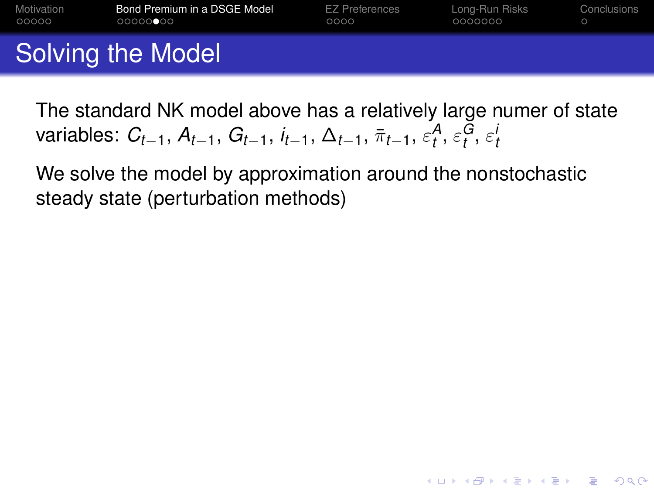| Motivation | Bond Premium in a DSGE Model | <b>EZ Preferences</b> | Long-Run Risks | Conclusions |
|------------|------------------------------|-----------------------|----------------|-------------|
| 00000      | 000000000                    | 0000                  | 0000000        |             |
|            | Solving the Model            |                       |                |             |

The standard NK model above has a relatively large numer of state  ${\sf variables:}\,\, C_{t-1},\, A_{t-1},\, G_{t-1},\, i_{t-1},\, \Delta_{t-1},\, \bar\pi_{t-1},\, \varepsilon^{\mathcal{A}}_t,\, \varepsilon^{\mathcal{G}}_t,\, \varepsilon^{\mathcal{I}}_t$ 

**KORK ERKER ADAM ADA** 

We solve the model by approximation around the nonstochastic steady state (perturbation methods)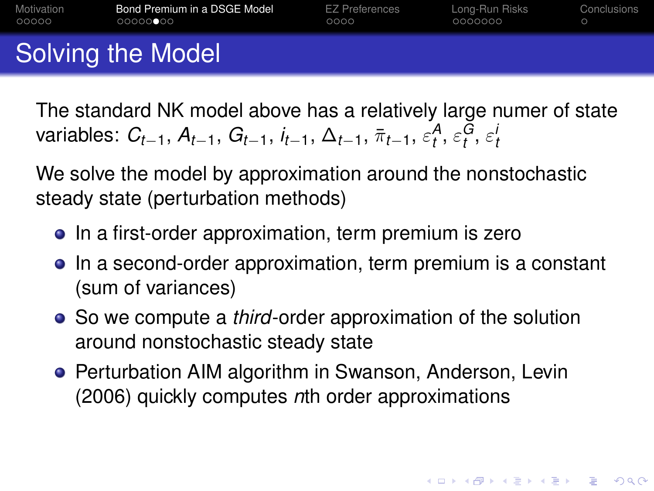| Motivation | Bond Premium in a DSGE Model | <b>EZ Preferences</b> | Long-Run Risks | Conclusions |
|------------|------------------------------|-----------------------|----------------|-------------|
| 00000      | 00000000                     | 0000                  | 0000000        |             |
|            | Solving the Model            |                       |                |             |

The standard NK model above has a relatively large numer of state  ${\sf variables:}\,\, C_{t-1},\, A_{t-1},\, G_{t-1},\, i_{t-1},\, \Delta_{t-1},\, \bar\pi_{t-1},\, \varepsilon^{\mathcal{A}}_t,\, \varepsilon^{\mathcal{G}}_t,\, \varepsilon^{\mathcal{I}}_t$ 

We solve the model by approximation around the nonstochastic steady state (perturbation methods)

- In a first-order approximation, term premium is zero
- In a second-order approximation, term premium is a constant (sum of variances)
- So we compute a *third*-order approximation of the solution around nonstochastic steady state
- **Perturbation AIM algorithm in Swanson, Anderson, Levin** (2006) quickly computes *n*th order approximations

**KORKAR KERKER E VOOR**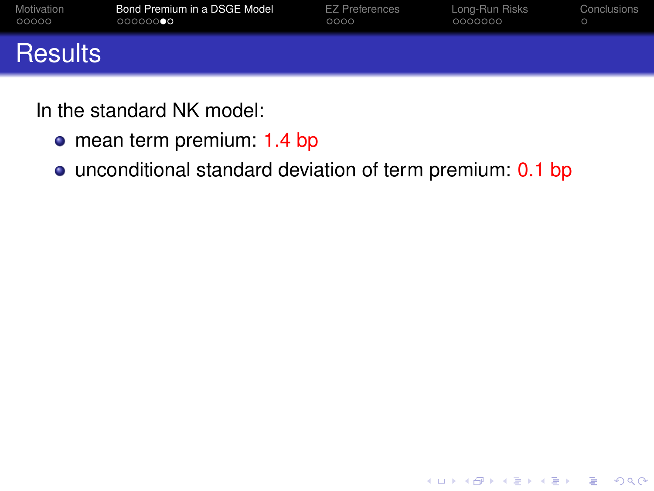| Motivation     | Bond Premium in a DSGE Model | <b>EZ Preferences</b> | Long-Run Risks | Conclusions |
|----------------|------------------------------|-----------------------|----------------|-------------|
| 00000          | 000000000                    | 0000                  | 0000000        |             |
| <b>Results</b> |                              |                       |                |             |

In the standard NK model:

- o mean term premium: 1.4 bp
- <span id="page-32-0"></span>• unconditional standard deviation of term premium: 0.1 bp

K ロ ▶ K @ ▶ K 할 ▶ K 할 ▶ 이 할 → 9 Q Q →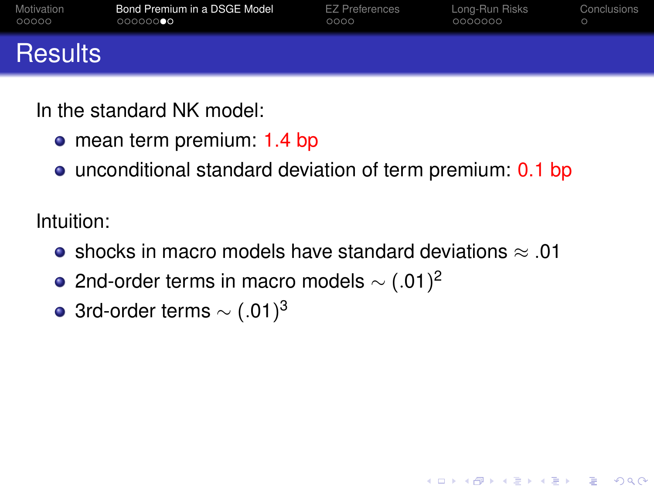| Motivation     | Bond Premium in a DSGE Model | <b>EZ Preferences</b> | Long-Run Risks | Conclusions |
|----------------|------------------------------|-----------------------|----------------|-------------|
| 00000          | 000000000                    | 0000                  | 0000000        |             |
| <b>Results</b> |                              |                       |                |             |

In the standard NK model:

- mean term premium: 1.4 bp
- unconditional standard deviation of term premium: 0.1 bp

Intuition:

• shocks in macro models have standard deviations  $\approx$  0.01

**KORK ERKER ADAM ADA** 

- 2nd-order terms in macro models  $\sim$   $(.01)^2$
- 3rd-order terms  $\sim$  (.01) $^3$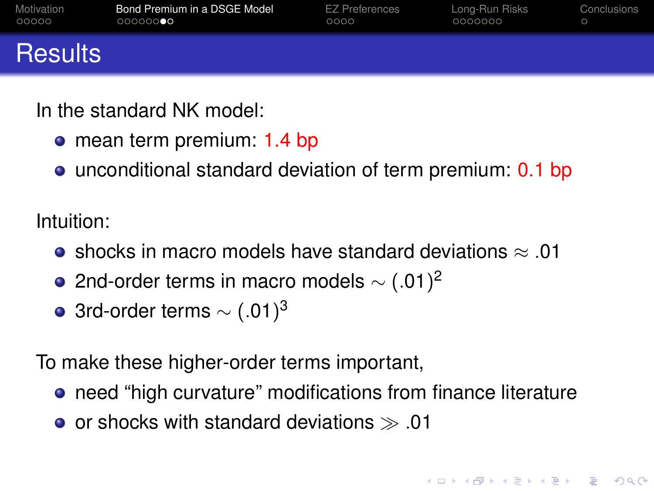| Motivation     | Bond Premium in a DSGE Model | <b>EZ Preferences</b> | Long-Run Risks | Conclusions |
|----------------|------------------------------|-----------------------|----------------|-------------|
| 00000          | 000000                       | 0000                  | 0000000        |             |
| <b>Results</b> |                              |                       |                |             |

In the standard NK model:

- mean term premium: 1.4 bp
- unconditional standard deviation of term premium: 0.1 bp

Intuition:

- shocks in macro models have standard deviations  $≈ 01$
- 2nd-order terms in macro models  $\sim$   $(.01)^2$
- 3rd-order terms  $\sim$  (.01) $^3$

To make these higher-order terms important,

**•** need "high curvature" modifications from finance literature

**KOD KOD KED KED E VOOR** 

• or shocks with standard deviations  $\gg .01$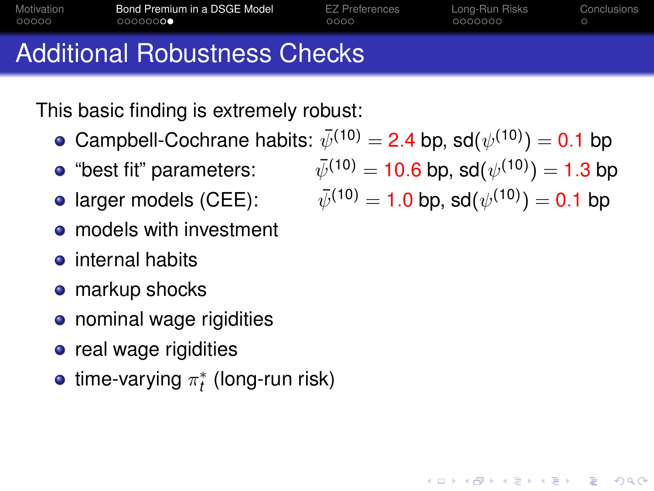| Motivation | Bond Premium in a DSGE Model        | <b>EZ Preferences</b> | Long-Run Risks | Conclusions |
|------------|-------------------------------------|-----------------------|----------------|-------------|
| 00000      | 0000000                             | 0000                  | 0000000        |             |
|            | <b>Additional Robustness Checks</b> |                       |                |             |

This basic finding is extremely robust:

- Campbell-Cochrane habits:  $\bar{\psi}^{(10)}$  $\lambda$  hp  $\alpha d(x/10)$ )  $=$  0.1 bp
- $\bullet$  "best fit" parameters:
- **o** larger models (CEE):
- models with investment
- $\bullet$  internal habits
- **o** markup shocks
- nominal wage rigidities
- **•** real wage rigidities
- <span id="page-35-0"></span>time-varying  $\pi^*_t$  (long-run risk)

$$
\begin{aligned} \n\psi^{(10)} &= 2.4 \text{ pp, } \text{sq}(\psi^{(10)}) = 0.1 \text{ pp} \\ \n\bar{\psi}^{(10)} &= 10.6 \text{ bp, } \text{sd}(\psi^{(10)}) = 1.3 \text{ bp} \n\end{aligned}
$$

$$
\bar{\psi}^{(10)} = 1.0 \text{ bp, sd}(\psi^{(10)}) = 0.1 \text{ bp}
$$

**KORK ERKER AD A BOACH**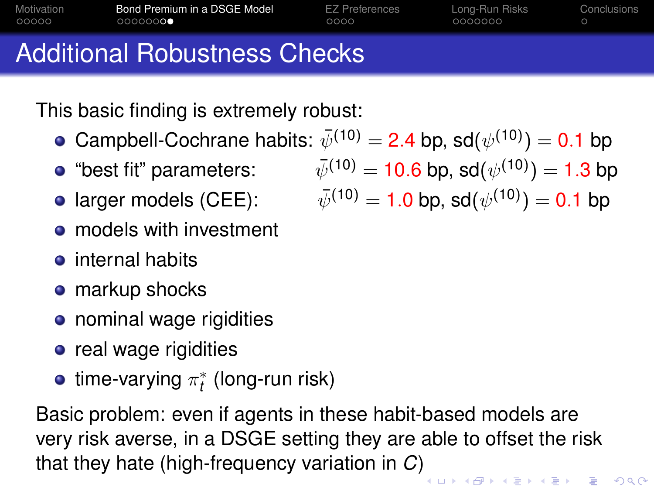| Motivation | Bond Premium in a DSGE Model        | <b>EZ Preferences</b> | Long-Run Risks | Conclusions |
|------------|-------------------------------------|-----------------------|----------------|-------------|
| 00000      | 0000000                             | 0000                  | 0000000        |             |
|            | <b>Additional Robustness Checks</b> |                       |                |             |

This basic finding is extremely robust:

- Campbell-Cochrane habits:  $\bar\psi^{(10)}=$  2.4 bp, sd $(\psi^{(10)})=$  0.1 bp
- 
- **o** larger models (CEE):
- **o** models with investment
- $\bullet$  internal habits
- **o** markup shocks
- nominal wage rigidities
- **•** real wage rigidities
- time-varying  $\pi^*_t$  (long-run risk)

Basic problem: even if agents in these habit-based models are very risk averse, in a DSGE setting they are able to offset the risk that they hate (high-frequency variation in *C*[\)](#page-35-0)

"best fit" parameters:  $\bar\psi^{(10)}=10.6$  bp, sd $(\psi^{(10)})=1.3$  bp

$$
\bar{\psi}^{(10)} = 1.0 \text{ bp, sd}(\psi^{(10)}) = 0.1 \text{ bp}
$$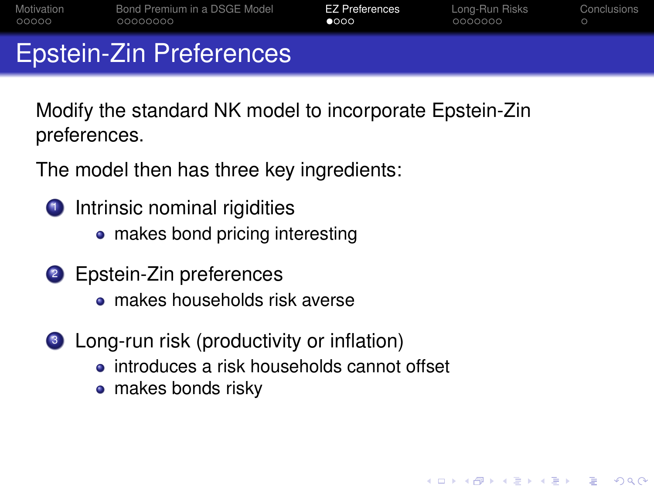| Motivation | Bond Premium in a DSGE Model   | EZ Preferences | Long-Run Risks | Conclusions |
|------------|--------------------------------|----------------|----------------|-------------|
| 00000      | 00000000                       | $\bullet$ 000  | 0000000        |             |
|            | <b>Epstein-Zin Preferences</b> |                |                |             |

Modify the standard NK model to incorporate Epstein-Zin preferences.

The model then has three key ingredients:

- **1** Intrinsic nominal rigidities
	- makes bond pricing interesting
- <sup>2</sup> Epstein-Zin preferences
	- makes households risk averse
- <sup>3</sup> Long-run risk (productivity or inflation)
	- introduces a risk households cannot offset

**KORK ERKER AD A BOACH** 

<span id="page-37-0"></span>• makes bonds risky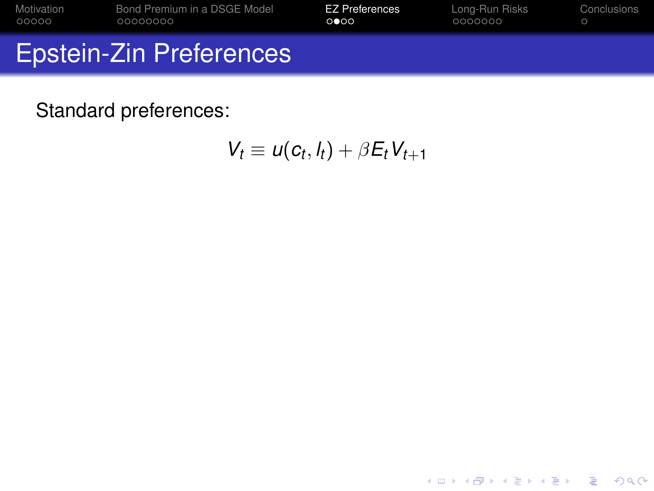| Motivation                     | Bond Premium in a DSGE Model | <b>EZ Preferences</b> | Long-Run Risks | Conclusions |
|--------------------------------|------------------------------|-----------------------|----------------|-------------|
| 00000                          | 00000000                     | 0000                  | 0000000        |             |
| <b>Epstein-Zin Preferences</b> |                              |                       |                |             |

<span id="page-38-0"></span> $V_t \equiv u(c_t, l_t) + \beta E_t V_{t+1}$ 

K ロ ▶ K @ ▶ K 할 > K 할 > 1 할 > 9 Q Q\*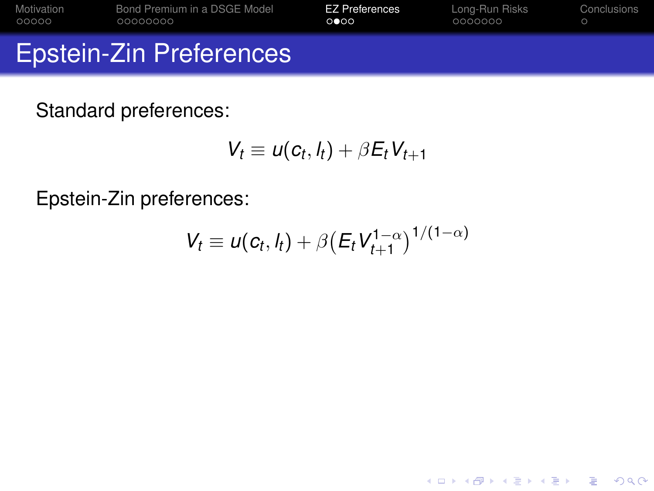| Motivation | Bond Premium in a DSGE Model   | <b>EZ Preferences</b> | Long-Run Risks | Conclusions |
|------------|--------------------------------|-----------------------|----------------|-------------|
| 00000      | 00000000                       | 0 000                 | 0000000        |             |
|            | <b>Epstein-Zin Preferences</b> |                       |                |             |

$$
V_t \equiv u(c_t, l_t) + \beta E_t V_{t+1}
$$

Epstein-Zin preferences:

$$
V_t \equiv u(c_t, l_t) + \beta \bigl(E_t V_{t+1}^{1-\alpha}\bigr)^{1/(1-\alpha)}
$$

K ロ ▶ K @ ▶ K 할 ▶ K 할 ▶ ... 할 ... 9 Q Q ^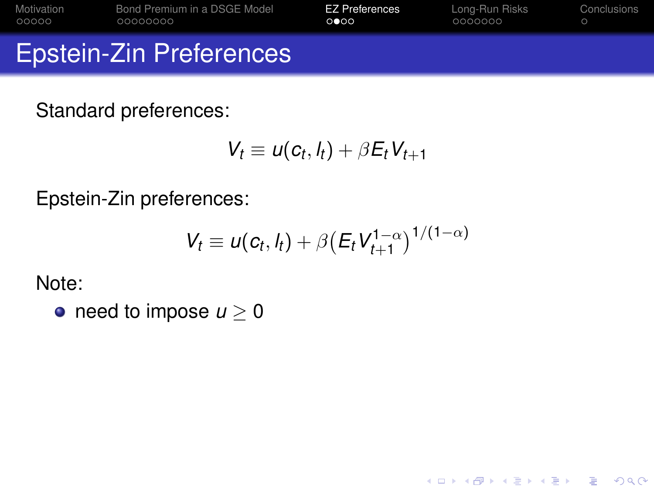| Motivation | Bond Premium in a DSGE Model   | <b>EZ Preferences</b> | Long-Run Risks | Conclusions |
|------------|--------------------------------|-----------------------|----------------|-------------|
| 00000      | 00000000                       | 0000                  | 0000000        |             |
|            | <b>Epstein-Zin Preferences</b> |                       |                |             |

$$
V_t \equiv u(c_t, l_t) + \beta E_t V_{t+1}
$$

Epstein-Zin preferences:

$$
V_t \equiv u(c_t, l_t) + \beta \bigl(E_t V_{t+1}^{1-\alpha}\bigr)^{1/(1-\alpha)}
$$

K ロ ▶ K @ ▶ K 할 ▶ K 할 ▶ 이 할 → 9 Q Q →

Note:

• need to impose  $u \geq 0$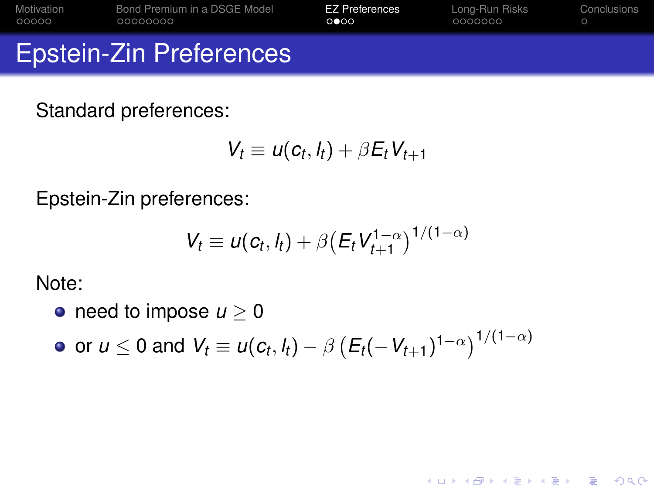| Motivation | Bond Premium in a DSGE Model   | <b>EZ Preferences</b> | Long-Run Risks | Conclusions |
|------------|--------------------------------|-----------------------|----------------|-------------|
| 00000      | 00000000                       | 0000                  | 0000000        |             |
|            | <b>Epstein-Zin Preferences</b> |                       |                |             |

$$
V_t \equiv u(c_t, l_t) + \beta E_t V_{t+1}
$$

Epstein-Zin preferences:

$$
V_t \equiv u(c_t, l_t) + \beta \bigl(E_t V_{t+1}^{1-\alpha}\bigr)^{1/(1-\alpha)}
$$

**KORK ERKER AD A BOACH** 

Note:

- need to impose  $u \geq 0$
- or  $u \leq 0$  and  $V_t \equiv u(c_t, l_t) \beta \left(E_t(-V_{t+1})^{1-\alpha}\right)^{1/(1-\alpha)}$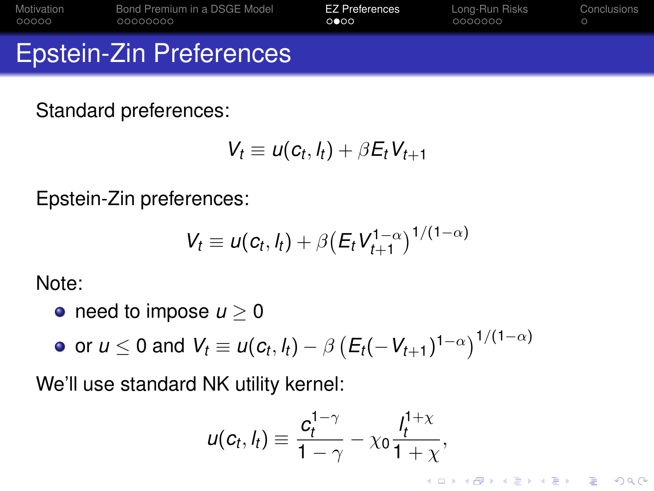| Motivation                     | Bond Premium in a DSGE Model | <b>EZ Preferences</b> | Long-Run Risks | Conclusions |
|--------------------------------|------------------------------|-----------------------|----------------|-------------|
| 00000                          | 00000000                     | 0 000                 | 0000000        |             |
| <b>Epstein-Zin Preferences</b> |                              |                       |                |             |

$$
V_t \equiv u(c_t, l_t) + \beta E_t V_{t+1}
$$

Epstein-Zin preferences:

$$
V_t \equiv u(c_t, l_t) + \beta \bigl(E_t V_{t+1}^{1-\alpha}\bigr)^{1/(1-\alpha)}
$$

Note:

- need to impose  $u > 0$
- or  $u \leq 0$  and  $V_t \equiv u(c_t, l_t) \beta \left(E_t(-V_{t+1})^{1-\alpha}\right)^{1/(1-\alpha)}$

We'll use standard NK utility kernel:

$$
u(c_t, l_t) \equiv \frac{c_t^{1-\gamma}}{1-\gamma} - \chi_0 \frac{l_t^{1+\chi}}{1+\chi},
$$

**KORKARA KERKER DAGA**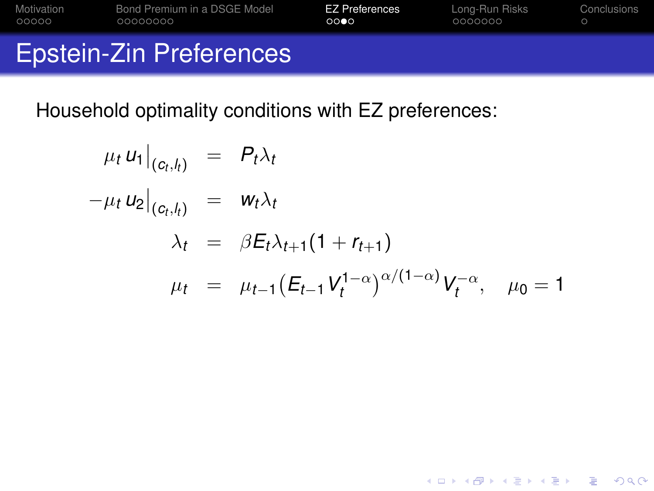| Motivation | Bond Premium in a DSGE Model   | <b>EZ Preferences</b> | Long-Run Risks | Conclusions |
|------------|--------------------------------|-----------------------|----------------|-------------|
| 00000      | 00000000                       | 0000                  | 0000000        |             |
|            | <b>Epstein-Zin Preferences</b> |                       |                |             |

Household optimality conditions with EZ preferences:

<span id="page-43-0"></span>
$$
\mu_t u_1|_{(c_t, l_t)} = P_t \lambda_t
$$
  
\n
$$
-\mu_t u_2|_{(c_t, l_t)} = w_t \lambda_t
$$
  
\n
$$
\lambda_t = \beta E_t \lambda_{t+1} (1 + r_{t+1})
$$
  
\n
$$
\mu_t = \mu_{t-1} (E_{t-1} V_t^{1-\alpha})^{\alpha/(1-\alpha)} V_t^{-\alpha}, \quad \mu_0 = 1
$$

K ロ X x (日 X X B X X B X X B X X O Q O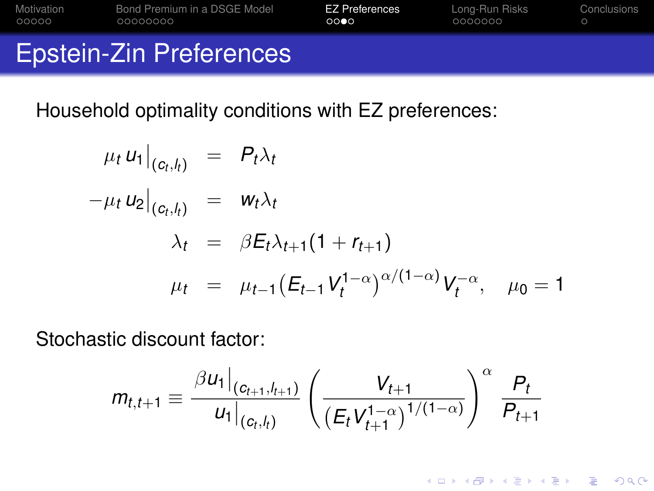| Motivation | Bond Premium in a DSGE Model   | <b>EZ Preferences</b> | Long-Run Risks | Conclusions |
|------------|--------------------------------|-----------------------|----------------|-------------|
| 00000      | 00000000                       | 0000                  | 0000000        |             |
|            | <b>Epstein-Zin Preferences</b> |                       |                |             |

Household optimality conditions with EZ preferences:

$$
\mu_t u_1|_{(c_t, l_t)} = P_t \lambda_t
$$
  
\n
$$
-\mu_t u_2|_{(c_t, l_t)} = w_t \lambda_t
$$
  
\n
$$
\lambda_t = \beta E_t \lambda_{t+1} (1 + r_{t+1})
$$
  
\n
$$
\mu_t = \mu_{t-1} (E_{t-1} V_t^{1-\alpha})^{\alpha/(1-\alpha)} V_t^{-\alpha}, \quad \mu_0 = 1
$$

Stochastic discount factor:

$$
m_{t,t+1} \equiv \frac{\beta u_1|_{(c_{t+1},l_{t+1})}}{u_1|_{(c_t,l_t)}} \left(\frac{V_{t+1}}{(E_t V_{t+1}^{1-\alpha})^{1/(1-\alpha)}}\right)^{\alpha} \frac{P_t}{P_{t+1}}
$$

K ロ ▶ K @ ▶ K 할 ▶ K 할 ▶ 이 할 → 9 Q Q →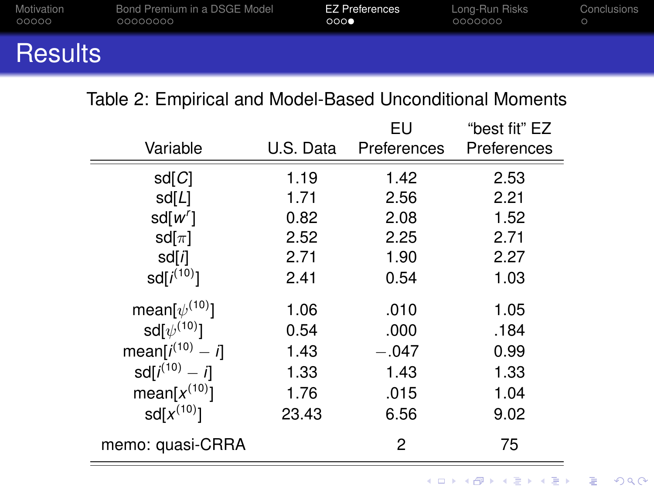| Motivation     | Bond Premium in a DSGE Model | <b>EZ Preferences</b> | Long-Run Risks | Conclusions |
|----------------|------------------------------|-----------------------|----------------|-------------|
| 00000          | 00000000                     | 000                   | 0000000        |             |
| <b>Results</b> |                              |                       |                |             |

#### Table 2: Empirical and Model-Based Unconditional Moments

<span id="page-45-0"></span>

|                        |           | EU          | "best fit" EZ |
|------------------------|-----------|-------------|---------------|
| Variable               | U.S. Data | Preferences | Preferences   |
| sd[Cl]                 | 1.19      | 1.42        | 2.53          |
| sd[L]                  | 1.71      | 2.56        | 2.21          |
| sd[w']                 | 0.82      | 2.08        | 1.52          |
| sd $[\pi]$             | 2.52      | 2.25        | 2.71          |
| sd[i]                  | 2.71      | 1.90        | 2.27          |
| $sd[i^{(10)}]$         | 2.41      | 0.54        | 1.03          |
| mean[ $\psi^{(10)}$ ]  | 1.06      | .010        | 1.05          |
| sd $\psi^{(10)}$ ]     | 0.54      | .000        | .184          |
| mean[ $i^{(10)} - i$ ] | 1.43      | $-.047$     | 0.99          |
| $sd[i^{(10)} - i]$     | 1.33      | 1.43        | 1.33          |
| mean[ $x^{(10)}$ ]     | 1.76      | .015        | 1.04          |
| $sd[x^{(10)}]$         | 23.43     | 6.56        | 9.02          |
| memo: quasi-CRRA       |           | 2           | 75            |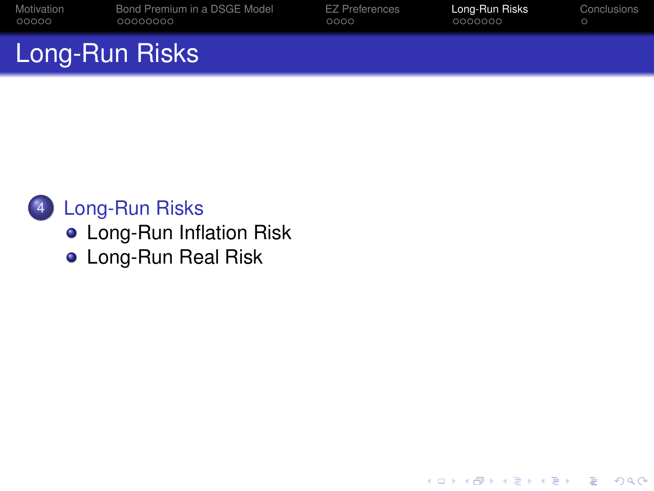| Motivation     | Bond Premium in a DSGE Model | EZ Preferences | Long-Run Risks | Conclusions |
|----------------|------------------------------|----------------|----------------|-------------|
| 00000          | 00000000                     | 0000           | 0000000        |             |
| Long-Run Risks |                              |                |                |             |

K ロ ▶ K @ ▶ K 할 ▶ K 할 ▶ 이 할 → 9 Q Q →

### 4 [Long-Run Risks](#page-46-0)

- **o** [Long-Run Inflation Risk](#page-47-0)
- <span id="page-46-0"></span>**o** [Long-Run Real Risk](#page-54-0)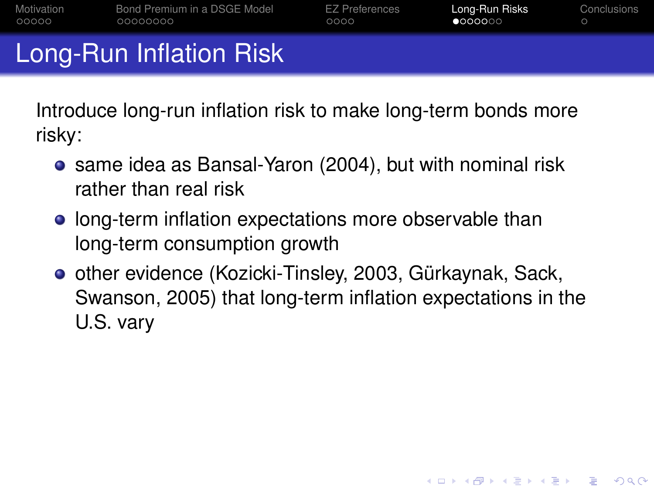| Motivation | Bond Premium in a DSGE Model | EZ Preferences | Long-Run Risks   | Conclusions |
|------------|------------------------------|----------------|------------------|-------------|
| 00000      | 00000000                     | 0000           | $\bullet$ 000000 |             |
|            | Long-Run Inflation Risk      |                |                  |             |

Introduce long-run inflation risk to make long-term bonds more risky:

- same idea as Bansal-Yaron (2004), but with nominal risk rather than real risk
- **long-term inflation expectations more observable than** long-term consumption growth
- <span id="page-47-0"></span>**o** other evidence (Kozicki-Tinsley, 2003, Gürkaynak, Sack, Swanson, 2005) that long-term inflation expectations in the U.S. vary

**KORKARA KERKER DAGA**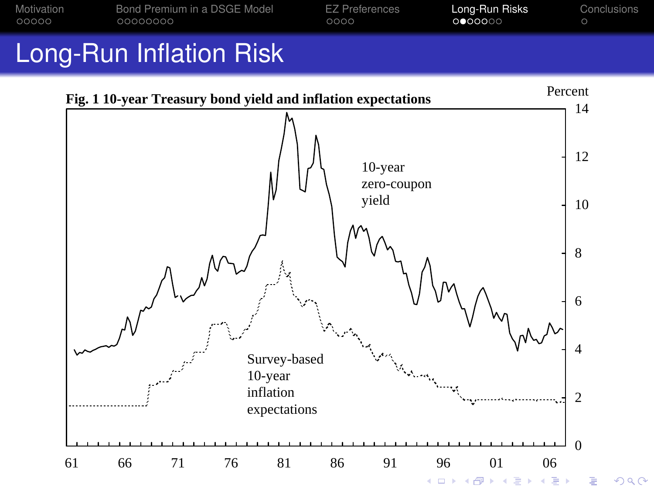

# Long-Run Inflation Risk

<span id="page-48-0"></span>

 $2Q$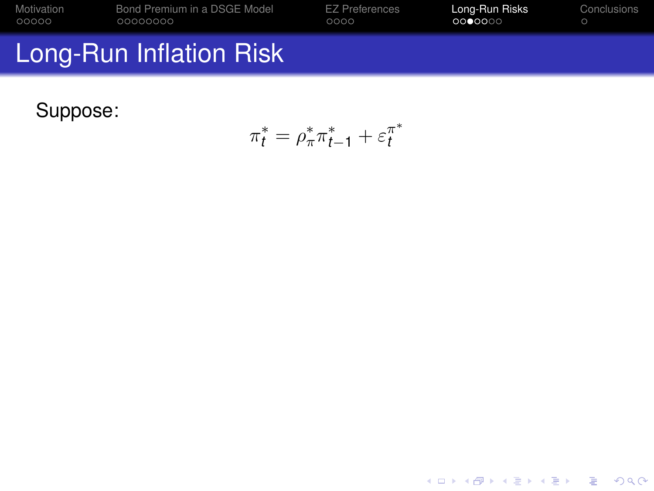| Motivation | Bond Premium in a DSGE Model | <b>EZ Preferences</b> | Long-Run Risks | Conclusions |
|------------|------------------------------|-----------------------|----------------|-------------|
| 00000      | 00000000                     | 0000                  | 0000000        |             |
|            | Long-Run Inflation Risk      |                       |                |             |

<span id="page-49-0"></span>Suppose:

$$
\pi_t^* = \rho_\pi^* \pi_{t-1}^* + \varepsilon_t^{\pi^*}
$$

K ロ X x (日 X X B X X B X X B X X O Q O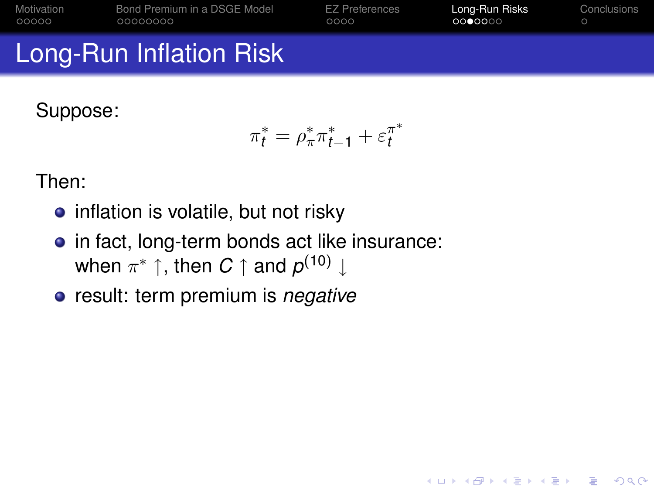| Motivation | Bond Premium in a DSGE Model   | <b>EZ Preferences</b> | Long-Run Risks | Conclusions |
|------------|--------------------------------|-----------------------|----------------|-------------|
| 00000      | 00000000                       | 0000                  | 0000000        |             |
|            | <b>Long-Run Inflation Risk</b> |                       |                |             |

Suppose:

$$
\pi_t^* = \rho_\pi^* \pi_{t-1}^* + \varepsilon_t^{\pi^*}
$$

KEL KALEYKEN E YAN

Then:

- inflation is volatile, but not risky
- in fact, long-term bonds act like insurance: when  $\pi^*$  ↑, then  $C$  ↑ and  $\rho^{(10)}$  ↓
- result: term premium is *negative*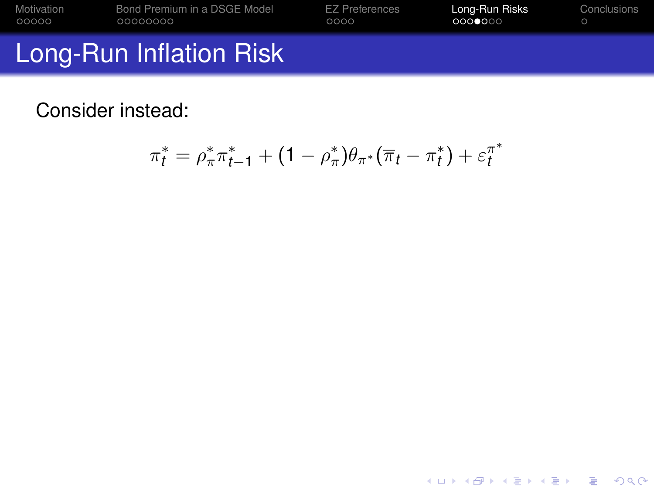| Motivation | Bond Premium in a DSGE Model   | <b>EZ Preferences</b> | Long-Run Risks | Conclusions |
|------------|--------------------------------|-----------------------|----------------|-------------|
| 00000      | 00000000                       | 0000                  | 0000000        |             |
|            | <b>Long-Run Inflation Risk</b> |                       |                |             |

Consider instead:

<span id="page-51-0"></span>
$$
\pi_t^* = \rho_{\pi}^* \pi_{t-1}^* + (1 - \rho_{\pi}^*) \theta_{\pi^*} (\overline{\pi}_t - \pi_t^*) + \varepsilon_t^{\pi^*}
$$

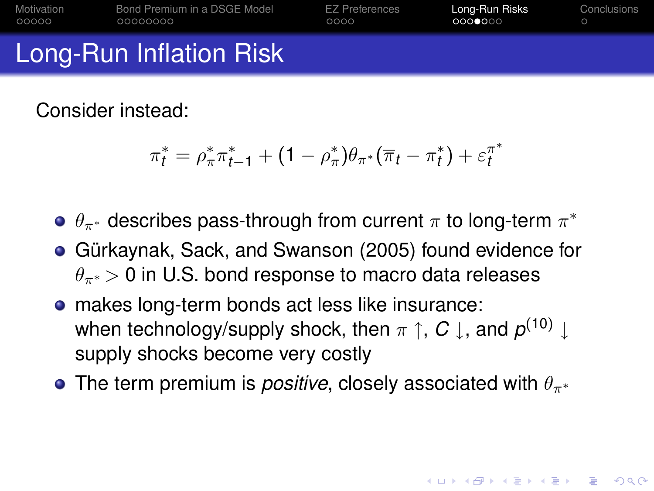| Motivation | Bond Premium in a DSGE Model   | <b>EZ Preferences</b> | Long-Run Risks | Conclusions |
|------------|--------------------------------|-----------------------|----------------|-------------|
| 00000      | 00000000                       | 0000                  | 0000000        |             |
|            | <b>Long-Run Inflation Risk</b> |                       |                |             |

Consider instead:

$$
\pi_t^* = \rho_{\pi}^* \pi_{t-1}^* + (1 - \rho_{\pi}^*) \theta_{\pi^*} (\overline{\pi}_t - \pi_t^*) + \varepsilon_t^{\pi^*}
$$

- $\theta_{\pi^*}$  describes pass-through from current  $\pi$  to long-term  $\pi^*$
- Gürkaynak, Sack, and Swanson (2005) found evidence for  $\theta_{\pi^*}$  > 0 in U.S. bond response to macro data releases
- makes long-term bonds act less like insurance: when technology/supply shock, then  $\pi \restriction$  ,  $C \downarrow$  , and  $\rho^{(10)} \downarrow$ supply shocks become very costly
- **•** The term premium is *positive*, closely associated with  $\theta_{\pi^*}$

**KORK ERKER ADAM ADA**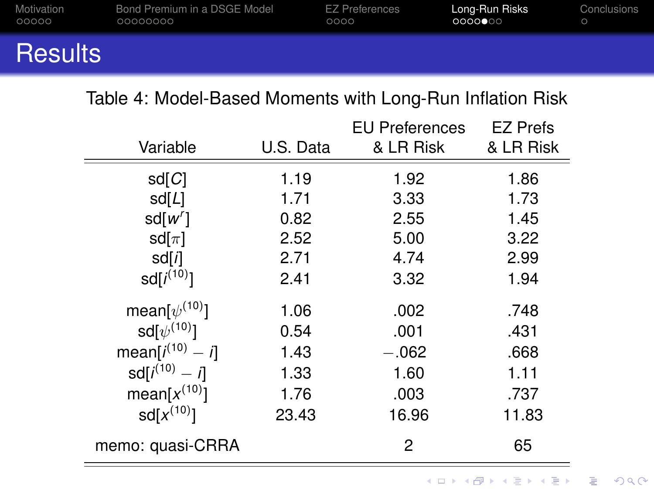| Motivation     | Bond Premium in a DSGE Model | EZ Preferences | Long-Run Risks | <b>Conclusions</b> |
|----------------|------------------------------|----------------|----------------|--------------------|
| 00000          | 00000000                     | 0000           | 0000000        |                    |
| <b>Results</b> |                              |                |                |                    |

#### Table 4: Model-Based Moments with Long-Run Inflation Risk

<span id="page-53-0"></span>

|                        |           | <b>EU Preferences</b> | <b>EZ Prefs</b> |
|------------------------|-----------|-----------------------|-----------------|
| Variable               | U.S. Data | & LR Risk             | & LR Risk       |
| sd[Cl]                 | 1.19      | 1.92                  | 1.86            |
| sd[L]                  | 1.71      | 3.33                  | 1.73            |
| sd[w']                 | 0.82      | 2.55                  | 1.45            |
| sd $[\pi]$             | 2.52      | 5.00                  | 3.22            |
| sd[i]                  | 2.71      | 4.74                  | 2.99            |
| $sd[i^{(10)}]$         | 2.41      | 3.32                  | 1.94            |
| mean[ $\psi^{(10)}$ ]  | 1.06      | .002                  | .748            |
| sd $\psi^{(10)}$ ]     | 0.54      | .001                  | .431            |
| mean[ $i^{(10)} - i$ ] | 1.43      | $-.062$               | .668            |
| $sd[i^{(10)} - i]$     | 1.33      | 1.60                  | 1.11            |
| mean[ $x^{(10)}$ ]     | 1.76      | .003                  | .737            |
| $sd[x^{(10)}]$         | 23.43     | 16.96                 | 11.83           |
| memo: quasi-CRRA       |           | 2                     | 65              |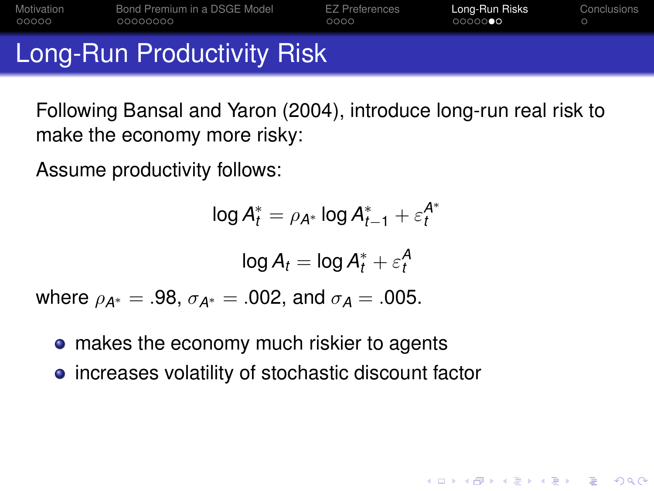| Motivation | Bond Premium in a DSGE Model | <b>EZ Preferences</b> | Long-Run Risks | Conclusions |
|------------|------------------------------|-----------------------|----------------|-------------|
| 00000      | 00000000                     | 0000                  | 00000          |             |
|            | Long-Run Productivity Risk   |                       |                |             |

Following Bansal and Yaron (2004), introduce long-run real risk to make the economy more risky:

**KORKARA KERKER DAGA** 

Assume productivity follows:

$$
\log A_t^* = \rho_{A^*} \log A_{t-1}^* + \varepsilon_t^{A^*}
$$

$$
\log A_t = \log A_t^* + \varepsilon_t^A
$$
  
where  $\rho_{A^*} = .98$ ,  $\sigma_{A^*} = .002$ , and  $\sigma_A = .005$ .

• makes the economy much riskier to agents

<span id="page-54-0"></span>**•** increases volatility of stochastic discount factor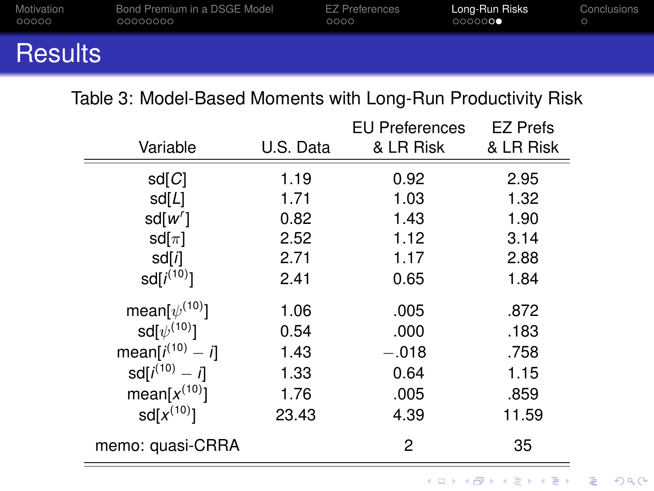| Motivation     | Bond Premium in a DSGE Model | EZ Preferences | Long-Run Risks | Conclusions |
|----------------|------------------------------|----------------|----------------|-------------|
| 00000          | 00000000                     | 0000           | 0000000        |             |
| <b>Results</b> |                              |                |                |             |

#### Table 3: Model-Based Moments with Long-Run Productivity Risk

<span id="page-55-0"></span>

|                        |           | <b>EU Preferences</b> | <b>EZ Prefs</b> |
|------------------------|-----------|-----------------------|-----------------|
| Variable               | U.S. Data | & LR Risk             | & LR Risk       |
| sd[Cl]                 | 1.19      | 0.92                  | 2.95            |
| sd[L]                  | 1.71      | 1.03                  | 1.32            |
| sd[w']                 | 0.82      | 1.43                  | 1.90            |
| sd $[\pi]$             | 2.52      | 1.12                  | 3.14            |
| sd[i]                  | 2.71      | 1.17                  | 2.88            |
| $sd[i^{(10)}]$         | 2.41      | 0.65                  | 1.84            |
| mean[ $\psi^{(10)}$ ]  | 1.06      | .005                  | .872            |
| sd $\psi^{(10)}$ ]     | 0.54      | .000                  | .183            |
| mean[ $i^{(10)} - i$ ] | 1.43      | $-.018$               | .758            |
| $sd[i^{(10)} - i]$     | 1.33      | 0.64                  | 1.15            |
| mean[ $x^{(10)}$ ]     | 1.76      | .005                  | .859            |
| $sd[x^{(10)}]$         | 23.43     | 4.39                  | 11.59           |
| memo: quasi-CRRA       |           | 2                     | 35              |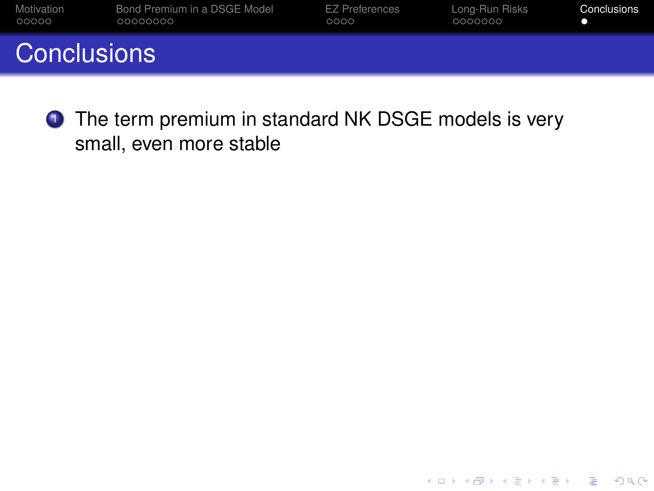| Motivation         | Bond Premium in a DSGE Model | EZ Preferences | Long-Run Risks | Conclusions |
|--------------------|------------------------------|----------------|----------------|-------------|
| 00000              | 00000000                     | 0000           | 0000000        |             |
| <b>Conclusions</b> |                              |                |                |             |

K ロ ▶ K @ ▶ K 할 ▶ K 할 ▶ 이 할 → 9 Q Q →

<span id="page-56-0"></span>**1** The term premium in standard NK DSGE models is very small, even more stable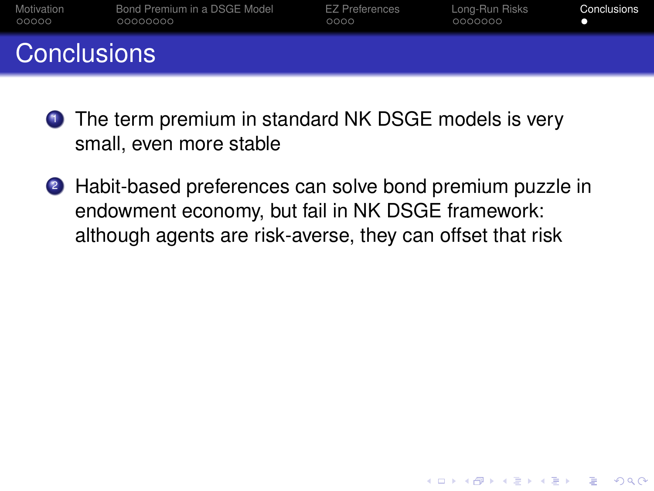| Motivation         | Bond Premium in a DSGE Model | EZ Preferences | Long-Run Risks | Conclusions |
|--------------------|------------------------------|----------------|----------------|-------------|
| 00000              | 00000000                     | 0000           | 0000000        |             |
| <b>Conclusions</b> |                              |                |                |             |

- **1** The term premium in standard NK DSGE models is very small, even more stable
- 2 Habit-based preferences can solve bond premium puzzle in endowment economy, but fail in NK DSGE framework: although agents are risk-averse, they can offset that risk

**KORK ERKER ADAM ADA**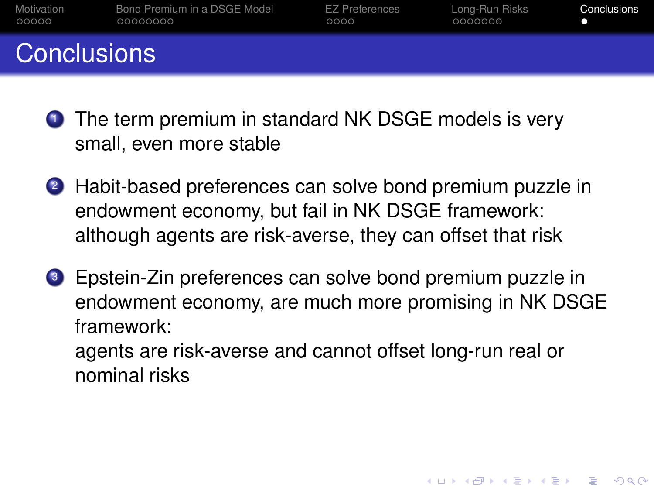| Motivation         | Bond Premium in a DSGE Model | EZ Preferences | Long-Run Risks | Conclusions |
|--------------------|------------------------------|----------------|----------------|-------------|
| 00000              | 00000000                     | 0000           | 0000000        |             |
| <b>Conclusions</b> |                              |                |                |             |

- **1** The term premium in standard NK DSGE models is very small, even more stable
- 2 Habit-based preferences can solve bond premium puzzle in endowment economy, but fail in NK DSGE framework: although agents are risk-averse, they can offset that risk
- <sup>3</sup> Epstein-Zin preferences can solve bond premium puzzle in endowment economy, are much more promising in NK DSGE framework:

agents are risk-averse and cannot offset long-run real or nominal risks

**KORK ERKEY EL POLO**